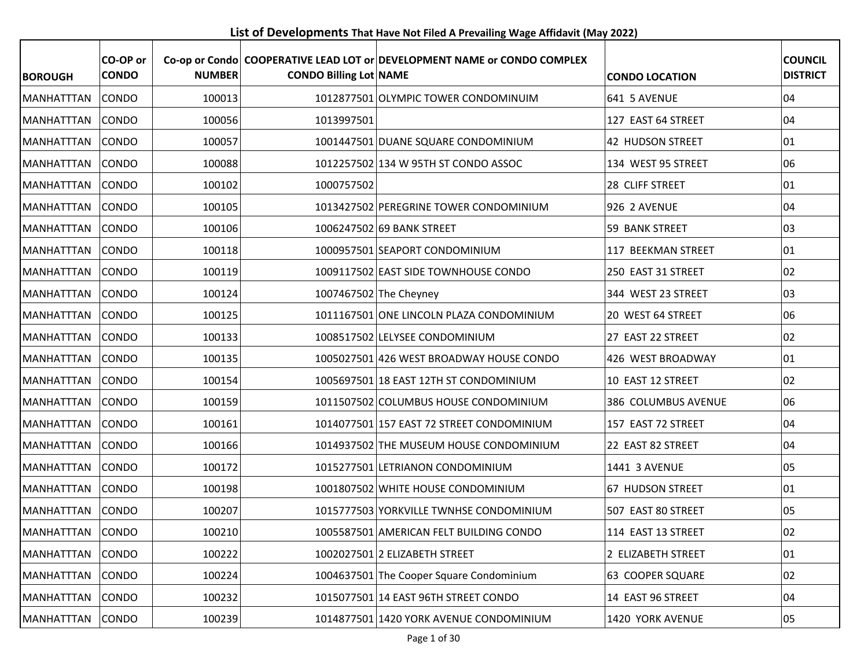**List of Developments That Have Not Filed A Prevailing Wage Affidavit (May 2022)**

| <b>BOROUGH</b>    | CO-OP or<br><b>CONDO</b> | <b>NUMBER</b> | <b>CONDO Billing Lot NAME</b> | Co-op or Condo   COOPERATIVE LEAD LOT or DEVELOPMENT NAME or CONDO COMPLEX | <b>CONDO LOCATION</b> | <b>COUNCIL</b><br><b>DISTRICT</b> |
|-------------------|--------------------------|---------------|-------------------------------|----------------------------------------------------------------------------|-----------------------|-----------------------------------|
| <b>MANHATTTAN</b> | CONDO                    | 100013        |                               | 1012877501 OLYMPIC TOWER CONDOMINUIM                                       | 641 5 AVENUE          | 04                                |
| <b>MANHATTTAN</b> | <b>CONDO</b>             | 100056        | 1013997501                    |                                                                            | 127 EAST 64 STREET    | 04                                |
| <b>MANHATTTAN</b> | <b>CONDO</b>             | 100057        |                               | 1001447501 DUANE SQUARE CONDOMINIUM                                        | 42 HUDSON STREET      | 01                                |
| MANHATTTAN        | <b>CONDO</b>             | 100088        |                               | 1012257502 134 W 95TH ST CONDO ASSOC                                       | 134 WEST 95 STREET    | 06                                |
| <b>MANHATTTAN</b> | <b>CONDO</b>             | 100102        | 1000757502                    |                                                                            | 28 CLIFF STREET       | 01                                |
| MANHATTTAN        | CONDO                    | 100105        |                               | 1013427502 PEREGRINE TOWER CONDOMINIUM                                     | <b>926 2 AVENUE</b>   | 04                                |
| <b>MANHATTTAN</b> | <b>CONDO</b>             | 100106        |                               | 1006247502 69 BANK STREET                                                  | 59 BANK STREET        | 03                                |
| MANHATTTAN        | <b>CONDO</b>             | 100118        |                               | 1000957501 SEAPORT CONDOMINIUM                                             | 117 BEEKMAN STREET    | 01                                |
| MANHATTTAN        | <b>CONDO</b>             | 100119        |                               | 1009117502 EAST SIDE TOWNHOUSE CONDO                                       | 250 EAST 31 STREET    | 02                                |
| <b>MANHATTTAN</b> | CONDO                    | 100124        |                               | 1007467502 The Cheyney                                                     | 344 WEST 23 STREET    | 03                                |
| MANHATTTAN        | <b>CONDO</b>             | 100125        |                               | 1011167501 ONE LINCOLN PLAZA CONDOMINIUM                                   | 20 WEST 64 STREET     | 06                                |
| MANHATTTAN        | <b>CONDO</b>             | 100133        |                               | 1008517502 LELYSEE CONDOMINIUM                                             | 27 EAST 22 STREET     | 02                                |
| MANHATTTAN        | CONDO                    | 100135        |                               | 1005027501 426 WEST BROADWAY HOUSE CONDO                                   | 426 WEST BROADWAY     | 01                                |
| <b>MANHATTTAN</b> | <b>CONDO</b>             | 100154        |                               | 1005697501 18 EAST 12TH ST CONDOMINIUM                                     | 10 EAST 12 STREET     | 02                                |
| MANHATTTAN        | <b>CONDO</b>             | 100159        |                               | 1011507502 COLUMBUS HOUSE CONDOMINIUM                                      | 386 COLUMBUS AVENUE   | 06                                |
| MANHATTTAN        | <b>CONDO</b>             | 100161        |                               | 1014077501 157 EAST 72 STREET CONDOMINIUM                                  | 157 EAST 72 STREET    | 04                                |
| <b>MANHATTTAN</b> | <b>CONDO</b>             | 100166        |                               | 1014937502 THE MUSEUM HOUSE CONDOMINIUM                                    | 22 EAST 82 STREET     | 04                                |
| <b>MANHATTTAN</b> | <b>CONDO</b>             | 100172        |                               | 1015277501 LETRIANON CONDOMINIUM                                           | 1441 3 AVENUE         | 05                                |
| <b>MANHATTTAN</b> | <b>CONDO</b>             | 100198        |                               | 1001807502 WHITE HOUSE CONDOMINIUM                                         | 67 HUDSON STREET      | 01                                |
| MANHATTTAN        | <b>CONDO</b>             | 100207        |                               | 1015777503 YORKVILLE TWNHSE CONDOMINIUM                                    | 507 EAST 80 STREET    | 05                                |
| MANHATTTAN CONDO  |                          | 100210        |                               | 1005587501 AMERICAN FELT BUILDING CONDO                                    | 114 EAST 13 STREET    | 02                                |
| MANHATTTAN        | <b>CONDO</b>             | 100222        |                               | 1002027501 2 ELIZABETH STREET                                              | 2 ELIZABETH STREET    | 01                                |
| MANHATTTAN        | CONDO                    | 100224        |                               | 1004637501 The Cooper Square Condominium                                   | 63 COOPER SQUARE      | 02                                |
| MANHATTTAN        | <b>CONDO</b>             | 100232        |                               | 1015077501 14 EAST 96TH STREET CONDO                                       | 14 EAST 96 STREET     | 04                                |
| MANHATTTAN        | <b>CONDO</b>             | 100239        |                               | 1014877501 1420 YORK AVENUE CONDOMINIUM                                    | 1420 YORK AVENUE      | 05                                |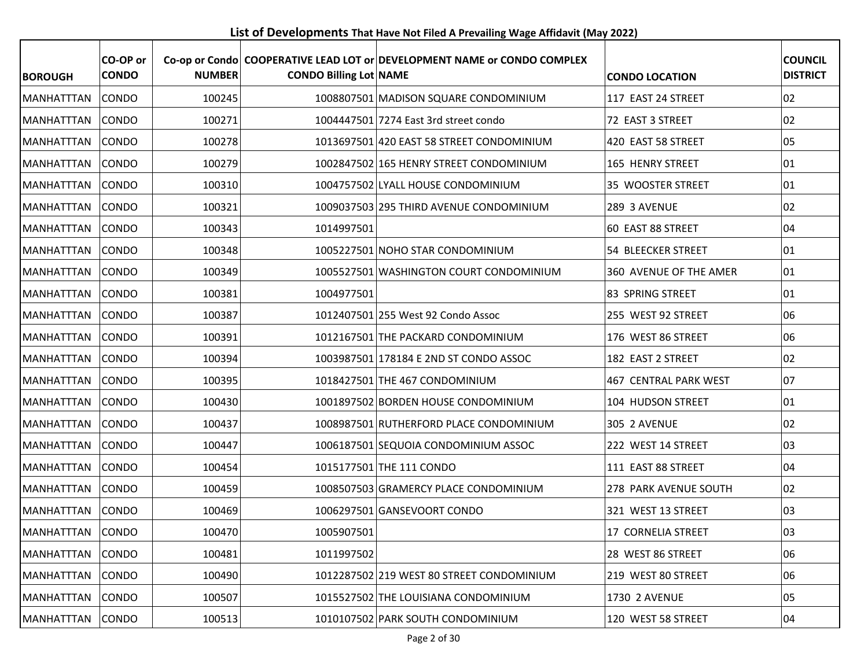**List of Developments That Have Not Filed A Prevailing Wage Affidavit (May 2022)**

| <b>BOROUGH</b>    | CO-OP or<br><b>CONDO</b> | <b>NUMBER</b> | <b>CONDO Billing Lot NAME</b> | Co-op or Condo COOPERATIVE LEAD LOT or DEVELOPMENT NAME or CONDO COMPLEX | <b>CONDO LOCATION</b>  | <b>COUNCIL</b><br><b>DISTRICT</b> |
|-------------------|--------------------------|---------------|-------------------------------|--------------------------------------------------------------------------|------------------------|-----------------------------------|
| <b>MANHATTTAN</b> | <b>CONDO</b>             | 100245        |                               | 1008807501 MADISON SQUARE CONDOMINIUM                                    | 117 EAST 24 STREET     | 02                                |
| <b>MANHATTTAN</b> | <b>CONDO</b>             | 100271        |                               | 1004447501 7274 East 3rd street condo                                    | 72 EAST 3 STREET       | 02                                |
| MANHATTTAN        | <b>CONDO</b>             | 100278        |                               | 1013697501 420 EAST 58 STREET CONDOMINIUM                                | 420 EAST 58 STREET     | 05                                |
| <b>MANHATTTAN</b> | <b>CONDO</b>             | 100279        |                               | 1002847502 165 HENRY STREET CONDOMINIUM                                  | 165 HENRY STREET       | 01                                |
| <b>MANHATTTAN</b> | <b>CONDO</b>             | 100310        |                               | 1004757502 LYALL HOUSE CONDOMINIUM                                       | 35 WOOSTER STREET      | 01                                |
| MANHATTTAN        | <b>CONDO</b>             | 100321        |                               | 1009037503 295 THIRD AVENUE CONDOMINIUM                                  | 289 3 AVENUE           | 02                                |
| <b>MANHATTTAN</b> | CONDO                    | 100343        | 1014997501                    |                                                                          | 60 EAST 88 STREET      | 04                                |
| <b>MANHATTTAN</b> | <b>CONDO</b>             | 100348        |                               | 1005227501 NOHO STAR CONDOMINIUM                                         | 54 BLEECKER STREET     | 01                                |
| MANHATTTAN        | <b>CONDO</b>             | 100349        |                               | 1005527501 WASHINGTON COURT CONDOMINIUM                                  | 360 AVENUE OF THE AMER | 01                                |
| <b>MANHATTTAN</b> | <b>CONDO</b>             | 100381        | 1004977501                    |                                                                          | 83 SPRING STREET       | 01                                |
| <b>MANHATTTAN</b> | <b>CONDO</b>             | 100387        |                               | 1012407501 255 West 92 Condo Assoc                                       | 255 WEST 92 STREET     | 06                                |
| MANHATTTAN        | <b>CONDO</b>             | 100391        |                               | 1012167501 THE PACKARD CONDOMINIUM                                       | 176 WEST 86 STREET     | 06                                |
| <b>MANHATTTAN</b> | <b>CONDO</b>             | 100394        |                               | 1003987501 178184 E 2ND ST CONDO ASSOC                                   | 182 EAST 2 STREET      | 02                                |
| MANHATTTAN        | <b>CONDO</b>             | 100395        |                               | 1018427501 THE 467 CONDOMINIUM                                           | 467 CENTRAL PARK WEST  | 07                                |
| <b>MANHATTTAN</b> | <b>CONDO</b>             | 100430        |                               | 1001897502 BORDEN HOUSE CONDOMINIUM                                      | 104 HUDSON STREET      | 01                                |
| <b>MANHATTTAN</b> | <b>CONDO</b>             | 100437        |                               | 1008987501 RUTHERFORD PLACE CONDOMINIUM                                  | <b>305 2 AVENUE</b>    | 02                                |
| <b>MANHATTTAN</b> | <b>CONDO</b>             | 100447        |                               | 1006187501 SEQUOIA CONDOMINIUM ASSOC                                     | 222 WEST 14 STREET     | 03                                |
| MANHATTTAN        | <b>CONDO</b>             | 100454        |                               | 1015177501 THE 111 CONDO                                                 | 111 EAST 88 STREET     | 04                                |
| <b>MANHATTTAN</b> | <b>CONDO</b>             | 100459        |                               | 1008507503 GRAMERCY PLACE CONDOMINIUM                                    | 278 PARK AVENUE SOUTH  | 02                                |
| MANHATTTAN        | <b>CONDO</b>             | 100469        |                               | 1006297501 GANSEVOORT CONDO                                              | 321 WEST 13 STREET     | 03                                |
| MANHATTTAN CONDO  |                          | 100470        | 1005907501                    |                                                                          | 17 CORNELIA STREET     | 03                                |
| MANHATTTAN        | <b>CONDO</b>             | 100481        | 1011997502                    |                                                                          | 28 WEST 86 STREET      | 06                                |
| <b>MANHATTTAN</b> | <b>CONDO</b>             | 100490        |                               | 1012287502 219 WEST 80 STREET CONDOMINIUM                                | 219 WEST 80 STREET     | 06                                |
| MANHATTTAN        | <b>CONDO</b>             | 100507        |                               | 1015527502 THE LOUISIANA CONDOMINIUM                                     | 1730 2 AVENUE          | 05                                |
| MANHATTTAN        | <b>CONDO</b>             | 100513        |                               | 1010107502 PARK SOUTH CONDOMINIUM                                        | 120 WEST 58 STREET     | 04                                |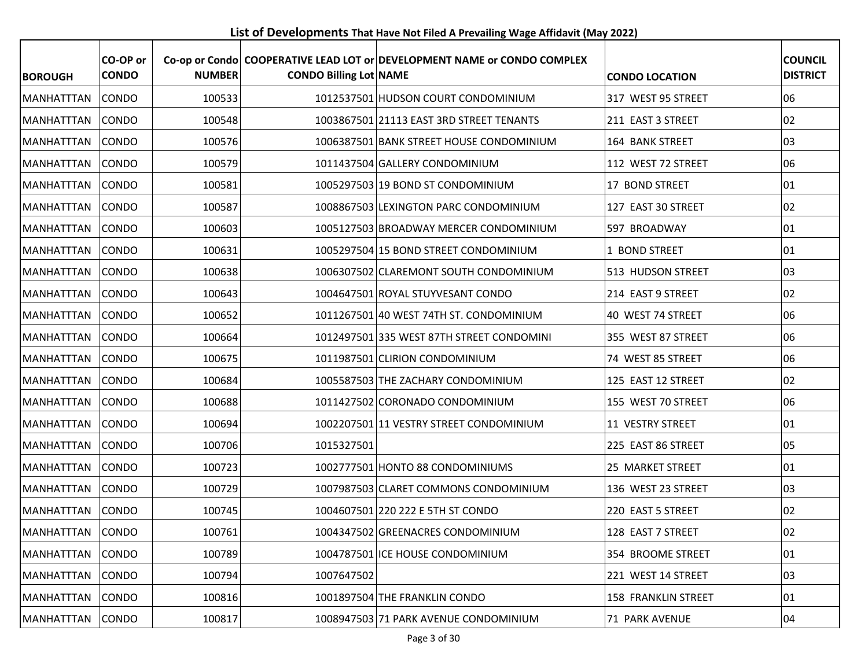**List of Developments That Have Not Filed A Prevailing Wage Affidavit (May 2022)**

| <b>BOROUGH</b>    | CO-OP or<br><b>CONDO</b> | <b>NUMBER</b> | <b>CONDO Billing Lot NAME</b> | Co-op or Condo COOPERATIVE LEAD LOT or DEVELOPMENT NAME or CONDO COMPLEX | <b>CONDO LOCATION</b>      | <b>COUNCIL</b><br><b>DISTRICT</b> |
|-------------------|--------------------------|---------------|-------------------------------|--------------------------------------------------------------------------|----------------------------|-----------------------------------|
| <b>MANHATTTAN</b> | <b>CONDO</b>             | 100533        |                               | 1012537501 HUDSON COURT CONDOMINIUM                                      | 317 WEST 95 STREET         | 06                                |
| <b>MANHATTTAN</b> | <b>CONDO</b>             | 100548        |                               | 1003867501 21113 EAST 3RD STREET TENANTS                                 | 211 EAST 3 STREET          | 02                                |
| <b>MANHATTTAN</b> | <b>CONDO</b>             | 100576        |                               | 1006387501 BANK STREET HOUSE CONDOMINIUM                                 | 164 BANK STREET            | 03                                |
| <b>MANHATTTAN</b> | <b>CONDO</b>             | 100579        |                               | 1011437504 GALLERY CONDOMINIUM                                           | 112 WEST 72 STREET         | 06                                |
| <b>MANHATTTAN</b> | <b>CONDO</b>             | 100581        |                               | 1005297503 19 BOND ST CONDOMINIUM                                        | 17 BOND STREET             | 01                                |
| <b>MANHATTTAN</b> | <b>CONDO</b>             | 100587        |                               | 1008867503 LEXINGTON PARC CONDOMINIUM                                    | 127 EAST 30 STREET         | 02                                |
| MANHATTTAN        | CONDO                    | 100603        |                               | 1005127503 BROADWAY MERCER CONDOMINIUM                                   | 597 BROADWAY               | 01                                |
| <b>MANHATTTAN</b> | <b>CONDO</b>             | 100631        |                               | 1005297504 15 BOND STREET CONDOMINIUM                                    | 1 BOND STREET              | 01                                |
| MANHATTTAN        | <b>CONDO</b>             | 100638        |                               | 1006307502 CLAREMONT SOUTH CONDOMINIUM                                   | 513 HUDSON STREET          | 03                                |
| MANHATTTAN        | CONDO                    | 100643        |                               | 1004647501 ROYAL STUYVESANT CONDO                                        | 214 EAST 9 STREET          | 02                                |
| <b>MANHATTTAN</b> | <b>CONDO</b>             | 100652        |                               | 1011267501 40 WEST 74TH ST. CONDOMINIUM                                  | 40 WEST 74 STREET          | 06                                |
| <b>MANHATTTAN</b> | <b>CONDO</b>             | 100664        |                               | 1012497501 335 WEST 87TH STREET CONDOMINI                                | 355 WEST 87 STREET         | 06                                |
| <b>MANHATTTAN</b> | <b>CONDO</b>             | 100675        |                               | 1011987501 CLIRION CONDOMINIUM                                           | 74 WEST 85 STREET          | 06                                |
| <b>MANHATTTAN</b> | <b>CONDO</b>             | 100684        |                               | 1005587503 THE ZACHARY CONDOMINIUM                                       | 125 EAST 12 STREET         | 02                                |
| <b>MANHATTTAN</b> | CONDO                    | 100688        |                               | 1011427502 CORONADO CONDOMINIUM                                          | 155 WEST 70 STREET         | 06                                |
| <b>MANHATTTAN</b> | <b>CONDO</b>             | 100694        |                               | 1002207501 11 VESTRY STREET CONDOMINIUM                                  | 11 VESTRY STREET           | 01                                |
| <b>MANHATTTAN</b> | <b>CONDO</b>             | 100706        | 1015327501                    |                                                                          | 225 EAST 86 STREET         | 05                                |
| <b>MANHATTTAN</b> | <b>CONDO</b>             | 100723        |                               | 1002777501 HONTO 88 CONDOMINIUMS                                         | 25 MARKET STREET           | 01                                |
| <b>MANHATTTAN</b> | <b>CONDO</b>             | 100729        |                               | 1007987503 CLARET COMMONS CONDOMINIUM                                    | 136 WEST 23 STREET         | 03                                |
| <b>MANHATTTAN</b> | <b>CONDO</b>             | 100745        |                               | 1004607501 220 222 E 5TH ST CONDO                                        | 220 EAST 5 STREET          | 02                                |
| MANHATTTAN CONDO  |                          | 100761        |                               | 1004347502 GREENACRES CONDOMINIUM                                        | 128 EAST 7 STREET          | 02                                |
| MANHATTTAN        | CONDO                    | 100789        |                               | 1004787501 ICE HOUSE CONDOMINIUM                                         | 354 BROOME STREET          | 01                                |
| MANHATTTAN        | <b>CONDO</b>             | 100794        | 1007647502                    |                                                                          | 221 WEST 14 STREET         | 03                                |
| MANHATTTAN        | <b>CONDO</b>             | 100816        |                               | 1001897504 THE FRANKLIN CONDO                                            | <b>158 FRANKLIN STREET</b> | 01                                |
| MANHATTTAN        | CONDO                    | 100817        |                               | 1008947503 71 PARK AVENUE CONDOMINIUM                                    | 71 PARK AVENUE             | 04                                |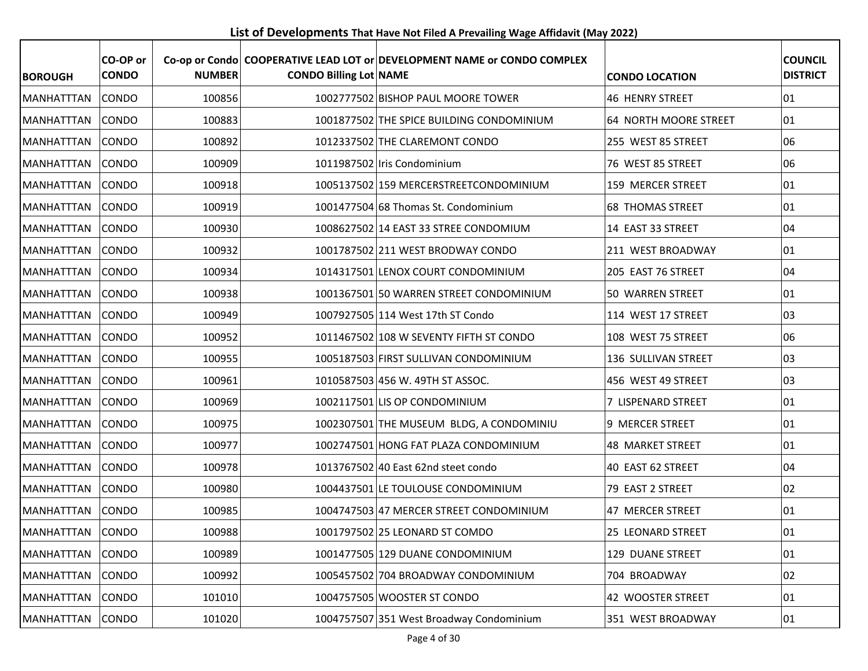**List of Developments That Have Not Filed A Prevailing Wage Affidavit (May 2022)**

| <b>BOROUGH</b>    | CO-OP or<br><b>CONDO</b> | <b>NUMBER</b> | <b>CONDO Billing Lot NAME</b> | Co-op or Condo COOPERATIVE LEAD LOT or DEVELOPMENT NAME or CONDO COMPLEX | <b>CONDO LOCATION</b>   | <b>COUNCIL</b><br><b>DISTRICT</b> |
|-------------------|--------------------------|---------------|-------------------------------|--------------------------------------------------------------------------|-------------------------|-----------------------------------|
| <b>MANHATTTAN</b> | CONDO                    | 100856        |                               | 1002777502 BISHOP PAUL MOORE TOWER                                       | <b>46 HENRY STREET</b>  | $ 01\rangle$                      |
| <b>MANHATTTAN</b> | <b>CONDO</b>             | 100883        |                               | 1001877502 THE SPICE BUILDING CONDOMINIUM                                | 64 NORTH MOORE STREET   | 01                                |
| <b>MANHATTTAN</b> | <b>CONDO</b>             | 100892        |                               | 1012337502 THE CLAREMONT CONDO                                           | 255 WEST 85 STREET      | 06                                |
| MANHATTTAN        | <b>CONDO</b>             | 100909        |                               | 1011987502 Iris Condominium                                              | 76 WEST 85 STREET       | 06                                |
| <b>MANHATTTAN</b> | <b>CONDO</b>             | 100918        |                               | 1005137502 159 MERCERSTREETCONDOMINIUM                                   | 159 MERCER STREET       | 01                                |
| <b>MANHATTTAN</b> | <b>CONDO</b>             | 100919        |                               | 1001477504 68 Thomas St. Condominium                                     | <b>68 THOMAS STREET</b> | $ 01\rangle$                      |
| MANHATTTAN        | CONDO                    | 100930        |                               | 1008627502 14 EAST 33 STREE CONDOMIUM                                    | 14 EAST 33 STREET       | 04                                |
| MANHATTTAN        | <b>CONDO</b>             | 100932        |                               | 1001787502 211 WEST BRODWAY CONDO                                        | 211 WEST BROADWAY       | 01                                |
| <b>MANHATTTAN</b> | <b>CONDO</b>             | 100934        |                               | 1014317501 LENOX COURT CONDOMINIUM                                       | 205 EAST 76 STREET      | 04                                |
| MANHATTTAN        | <b>CONDO</b>             | 100938        |                               | 1001367501 50 WARREN STREET CONDOMINIUM                                  | 50 WARREN STREET        | 01                                |
| <b>MANHATTTAN</b> | <b>CONDO</b>             | 100949        |                               | 1007927505 114 West 17th ST Condo                                        | 114 WEST 17 STREET      | 03                                |
| MANHATTTAN        | <b>CONDO</b>             | 100952        |                               | 1011467502 108 W SEVENTY FIFTH ST CONDO                                  | 108 WEST 75 STREET      | 06                                |
| <b>MANHATTTAN</b> | <b>CONDO</b>             | 100955        |                               | 1005187503 FIRST SULLIVAN CONDOMINIUM                                    | 136 SULLIVAN STREET     | 03                                |
| <b>MANHATTTAN</b> | <b>CONDO</b>             | 100961        |                               | 1010587503 456 W. 49TH ST ASSOC.                                         | 456 WEST 49 STREET      | 03                                |
| <b>MANHATTTAN</b> | <b>CONDO</b>             | 100969        |                               | 1002117501 LIS OP CONDOMINIUM                                            | 7 LISPENARD STREET      | 01                                |
| <b>MANHATTTAN</b> | CONDO                    | 100975        |                               | 1002307501 THE MUSEUM BLDG, A CONDOMINIU                                 | 9 MERCER STREET         | $ 01\rangle$                      |
| MANHATTTAN        | <b>CONDO</b>             | 100977        |                               | 1002747501 HONG FAT PLAZA CONDOMINIUM                                    | <b>48 MARKET STREET</b> | 01                                |
| <b>MANHATTTAN</b> | <b>CONDO</b>             | 100978        |                               | 1013767502 40 East 62nd steet condo                                      | 40 EAST 62 STREET       | 04                                |
| <b>MANHATTTAN</b> | <b>CONDO</b>             | 100980        |                               | 1004437501 LE TOULOUSE CONDOMINIUM                                       | 79 EAST 2 STREET        | 02                                |
| MANHATTTAN        | <b>CONDO</b>             | 100985        |                               | 1004747503 47 MERCER STREET CONDOMINIUM                                  | 47 MERCER STREET        | 01                                |
| MANHATTTAN CONDO  |                          | 100988        |                               | 1001797502 25 LEONARD ST COMDO                                           | 25 LEONARD STREET       | 01                                |
| MANHATTTAN        | <b>CONDO</b>             | 100989        |                               | 1001477505 129 DUANE CONDOMINIUM                                         | 129 DUANE STREET        | $ 01\rangle$                      |
| MANHATTTAN        | <b>CONDO</b>             | 100992        |                               | 1005457502 704 BROADWAY CONDOMINIUM                                      | 704 BROADWAY            | 02                                |
| MANHATTTAN        | <b>CONDO</b>             | 101010        |                               | 1004757505 WOOSTER ST CONDO                                              | 42 WOOSTER STREET       | 01                                |
| MANHATTTAN        | CONDO                    | 101020        |                               | 1004757507 351 West Broadway Condominium                                 | 351 WEST BROADWAY       | 01                                |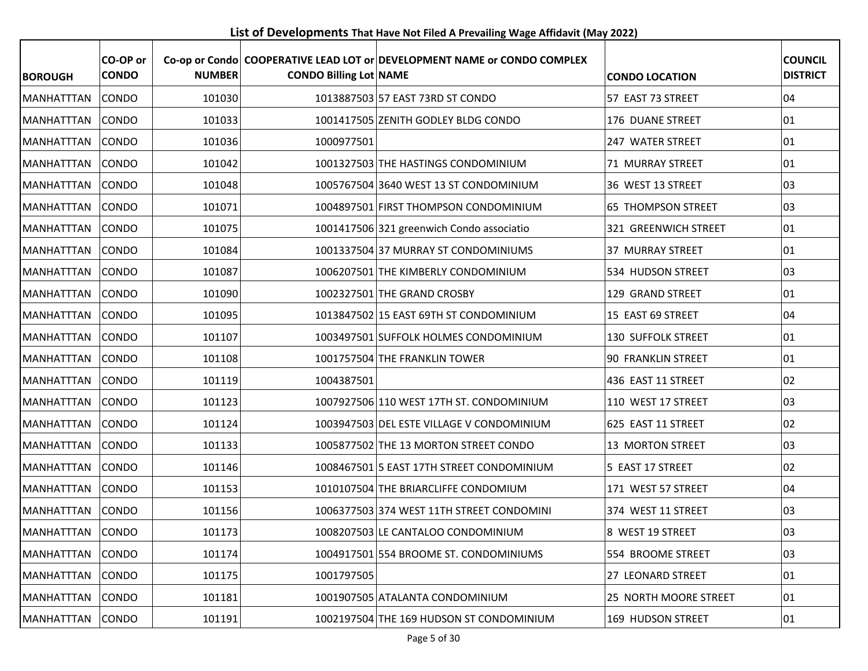**List of Developments That Have Not Filed A Prevailing Wage Affidavit (May 2022)**

| <b>BOROUGH</b>    | CO-OP or<br><b>CONDO</b> | <b>NUMBER</b> | <b>CONDO Billing Lot NAME</b> | Co-op or Condo COOPERATIVE LEAD LOT or DEVELOPMENT NAME or CONDO COMPLEX | <b>CONDO LOCATION</b>     | <b>COUNCIL</b><br><b>DISTRICT</b> |
|-------------------|--------------------------|---------------|-------------------------------|--------------------------------------------------------------------------|---------------------------|-----------------------------------|
| <b>MANHATTTAN</b> | <b>CONDO</b>             | 101030        |                               | 1013887503 57 EAST 73RD ST CONDO                                         | 57 EAST 73 STREET         | 04                                |
| <b>MANHATTTAN</b> | <b>CONDO</b>             | 101033        |                               | 1001417505 ZENITH GODLEY BLDG CONDO                                      | 176 DUANE STREET          | 01                                |
| MANHATTTAN        | <b>CONDO</b>             | 101036        | 1000977501                    |                                                                          | 247 WATER STREET          | 01                                |
| MANHATTTAN        | <b>CONDO</b>             | 101042        |                               | 1001327503 THE HASTINGS CONDOMINIUM                                      | 71 MURRAY STREET          | 01                                |
| <b>MANHATTTAN</b> | <b>CONDO</b>             | 101048        |                               | 1005767504 3640 WEST 13 ST CONDOMINIUM                                   | 36 WEST 13 STREET         | 03                                |
| MANHATTTAN        | CONDO                    | 101071        |                               | 1004897501 FIRST THOMPSON CONDOMINIUM                                    | <b>65 THOMPSON STREET</b> | 03                                |
| <b>MANHATTTAN</b> | <b>CONDO</b>             | 101075        |                               | 1001417506 321 greenwich Condo associatio                                | 321 GREENWICH STREET      | 01                                |
| <b>MANHATTTAN</b> | <b>CONDO</b>             | 101084        |                               | 1001337504 37 MURRAY ST CONDOMINIUMS                                     | 37 MURRAY STREET          | 01                                |
| MANHATTTAN        | <b>CONDO</b>             | 101087        |                               | 1006207501 THE KIMBERLY CONDOMINIUM                                      | 534 HUDSON STREET         | 03                                |
| MANHATTTAN        | CONDO                    | 101090        |                               | 1002327501 THE GRAND CROSBY                                              | 129 GRAND STREET          | 01                                |
| <b>MANHATTTAN</b> | <b>CONDO</b>             | 101095        |                               | 1013847502 15 EAST 69TH ST CONDOMINIUM                                   | 15 EAST 69 STREET         | 04                                |
| <b>MANHATTTAN</b> | <b>CONDO</b>             | 101107        |                               | 1003497501 SUFFOLK HOLMES CONDOMINIUM                                    | <b>130 SUFFOLK STREET</b> | 01                                |
| MANHATTTAN        | <b>CONDO</b>             | 101108        |                               | 1001757504 THE FRANKLIN TOWER                                            | <b>90 FRANKLIN STREET</b> | 01                                |
| <b>MANHATTTAN</b> | <b>CONDO</b>             | 101119        | 1004387501                    |                                                                          | 436 EAST 11 STREET        | 02                                |
| MANHATTTAN        | <b>CONDO</b>             | 101123        |                               | 1007927506 110 WEST 17TH ST. CONDOMINIUM                                 | 110 WEST 17 STREET        | 03                                |
| MANHATTTAN        | <b>CONDO</b>             | 101124        |                               | 1003947503 DEL ESTE VILLAGE V CONDOMINIUM                                | 625 EAST 11 STREET        | 02                                |
| <b>MANHATTTAN</b> | CONDO                    | 101133        |                               | 1005877502 THE 13 MORTON STREET CONDO                                    | 13 MORTON STREET          | 03                                |
| <b>MANHATTTAN</b> | <b>CONDO</b>             | 101146        |                               | 1008467501 5 EAST 17TH STREET CONDOMINIUM                                | 5 EAST 17 STREET          | 02                                |
| <b>MANHATTTAN</b> | <b>CONDO</b>             | 101153        |                               | 1010107504 THE BRIARCLIFFE CONDOMIUM                                     | 171 WEST 57 STREET        | 04                                |
| MANHATTTAN        | CONDO                    | 101156        |                               | 1006377503 374 WEST 11TH STREET CONDOMINI                                | 374 WEST 11 STREET        | 03                                |
| MANHATTTAN CONDO  |                          | 101173        |                               | 1008207503 LE CANTALOO CONDOMINIUM                                       | 8 WEST 19 STREET          | 03                                |
| MANHATTTAN        | <b>CONDO</b>             | 101174        |                               | 1004917501 554 BROOME ST. CONDOMINIUMS                                   | 554 BROOME STREET         | 03                                |
| <b>MANHATTTAN</b> | CONDO                    | 101175        | 1001797505                    |                                                                          | 27 LEONARD STREET         | 01                                |
| MANHATTTAN        | <b>CONDO</b>             | 101181        |                               | 1001907505 ATALANTA CONDOMINIUM                                          | 25 NORTH MOORE STREET     | 01                                |
| MANHATTTAN        | <b>CONDO</b>             | 101191        |                               | 1002197504 THE 169 HUDSON ST CONDOMINIUM                                 | 169 HUDSON STREET         | 01                                |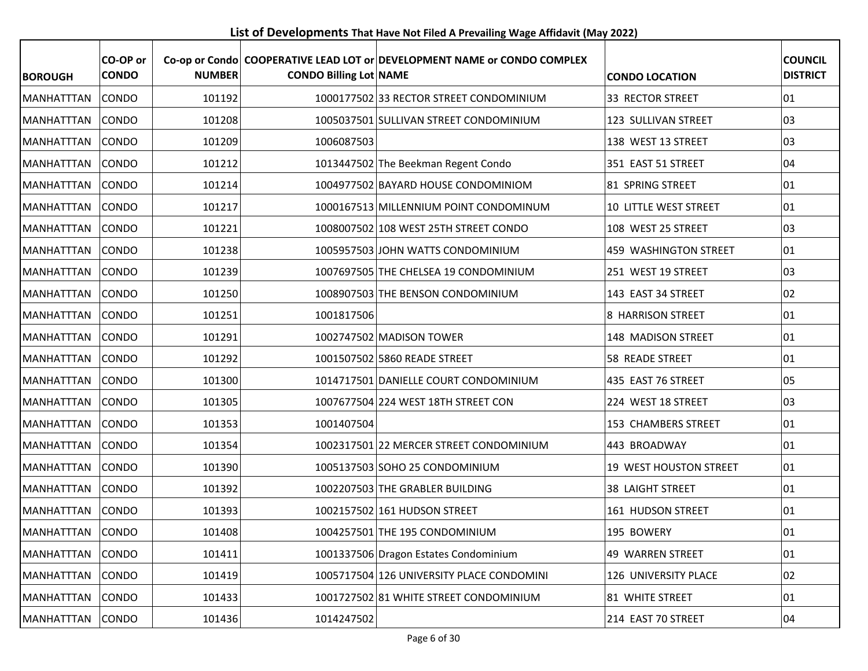**List of Developments That Have Not Filed A Prevailing Wage Affidavit (May 2022)**

| <b>BOROUGH</b>    | CO-OP or<br><b>CONDO</b> | <b>NUMBER</b> | <b>CONDO Billing Lot NAME</b> | Co-op or Condo COOPERATIVE LEAD LOT or DEVELOPMENT NAME or CONDO COMPLEX | <b>CONDO LOCATION</b>   | <b>COUNCIL</b><br><b>DISTRICT</b> |
|-------------------|--------------------------|---------------|-------------------------------|--------------------------------------------------------------------------|-------------------------|-----------------------------------|
| <b>MANHATTTAN</b> | <b>CONDO</b>             | 101192        |                               | 1000177502 33 RECTOR STREET CONDOMINIUM                                  | 33 RECTOR STREET        | 01                                |
| <b>MANHATTTAN</b> | <b>CONDO</b>             | 101208        |                               | 1005037501 SULLIVAN STREET CONDOMINIUM                                   | 123 SULLIVAN STREET     | 03                                |
| MANHATTTAN        | CONDO                    | 101209        | 1006087503                    |                                                                          | 138 WEST 13 STREET      | 03                                |
| MANHATTTAN        | CONDO                    | 101212        |                               | 1013447502 The Beekman Regent Condo                                      | 351 EAST 51 STREET      | 04                                |
| MANHATTTAN        | <b>CONDO</b>             | 101214        |                               | 1004977502 BAYARD HOUSE CONDOMINIOM                                      | 81 SPRING STREET        | 01                                |
| MANHATTTAN        | <b>CONDO</b>             | 101217        |                               | 1000167513 MILLENNIUM POINT CONDOMINUM                                   | 10 LITTLE WEST STREET   | 01                                |
| MANHATTTAN        | CONDO                    | 101221        |                               | 1008007502 108 WEST 25TH STREET CONDO                                    | 108 WEST 25 STREET      | 03                                |
| MANHATTTAN        | <b>CONDO</b>             | 101238        |                               | 1005957503 JOHN WATTS CONDOMINIUM                                        | 459 WASHINGTON STREET   | 01                                |
| <b>MANHATTTAN</b> | <b>CONDO</b>             | 101239        |                               | 1007697505 THE CHELSEA 19 CONDOMINIUM                                    | 251 WEST 19 STREET      | 03                                |
| MANHATTTAN        | <b>CONDO</b>             | 101250        |                               | 1008907503 THE BENSON CONDOMINIUM                                        | 143 EAST 34 STREET      | 02                                |
| <b>MANHATTTAN</b> | <b>CONDO</b>             | 101251        | 1001817506                    |                                                                          | 8 HARRISON STREET       | 01                                |
| MANHATTTAN        | <b>CONDO</b>             | 101291        |                               | 1002747502 MADISON TOWER                                                 | 148 MADISON STREET      | 01                                |
| MANHATTTAN        | <b>CONDO</b>             | 101292        |                               | 1001507502 5860 READE STREET                                             | 58 READE STREET         | 01                                |
| MANHATTTAN        | <b>CONDO</b>             | 101300        |                               | 1014717501 DANIELLE COURT CONDOMINIUM                                    | 435 EAST 76 STREET      | 05                                |
| <b>MANHATTTAN</b> | <b>CONDO</b>             | 101305        |                               | 1007677504 224 WEST 18TH STREET CON                                      | 224 WEST 18 STREET      | 03                                |
| <b>MANHATTTAN</b> | <b>CONDO</b>             | 101353        | 1001407504                    |                                                                          | 153 CHAMBERS STREET     | 01                                |
| MANHATTTAN        | <b>CONDO</b>             | 101354        |                               | 1002317501 22 MERCER STREET CONDOMINIUM                                  | 443 BROADWAY            | 01                                |
| MANHATTTAN        | <b>CONDO</b>             | 101390        |                               | 1005137503 SOHO 25 CONDOMINIUM                                           | 19 WEST HOUSTON STREET  | 01                                |
| MANHATTTAN        | CONDO                    | 101392        |                               | 1002207503 THE GRABLER BUILDING                                          | <b>38 LAIGHT STREET</b> | 01                                |
| MANHATTTAN        | <b>CONDO</b>             | 101393        |                               | 1002157502 161 HUDSON STREET                                             | 161 HUDSON STREET       | 01                                |
| MANHATTTAN CONDO  |                          | 101408        |                               | 1004257501 THE 195 CONDOMINIUM                                           | 195 BOWERY              | 01                                |
| MANHATTTAN        | <b>CONDO</b>             | 101411        |                               | 1001337506 Dragon Estates Condominium                                    | 49 WARREN STREET        | 01                                |
| MANHATTTAN        | <b>CONDO</b>             | 101419        |                               | 1005717504 126 UNIVERSITY PLACE CONDOMINI                                | 126 UNIVERSITY PLACE    | 02                                |
| MANHATTTAN        | <b>CONDO</b>             | 101433        |                               | 1001727502 81 WHITE STREET CONDOMINIUM                                   | 81 WHITE STREET         | 01                                |
| MANHATTTAN        | CONDO                    | 101436        | 1014247502                    |                                                                          | 214 EAST 70 STREET      | 04                                |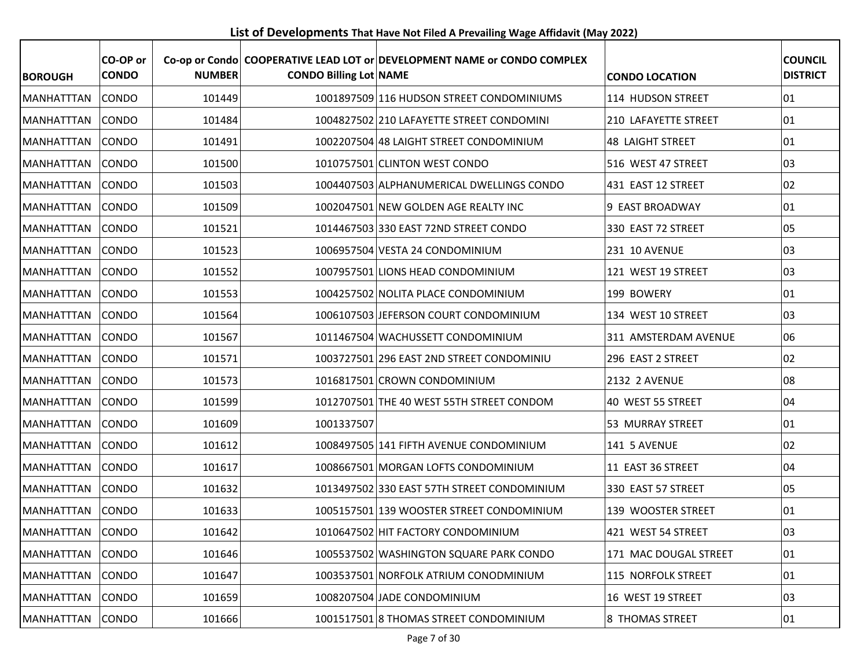**List of Developments That Have Not Filed A Prevailing Wage Affidavit (May 2022)**

| <b>BOROUGH</b>    | CO-OP or<br><b>CONDO</b> | <b>NUMBER</b> | <b>CONDO Billing Lot NAME</b> | Co-op or Condo COOPERATIVE LEAD LOT or DEVELOPMENT NAME or CONDO COMPLEX | <b>CONDO LOCATION</b>   | <b>COUNCIL</b><br><b>DISTRICT</b> |
|-------------------|--------------------------|---------------|-------------------------------|--------------------------------------------------------------------------|-------------------------|-----------------------------------|
| <b>MANHATTTAN</b> | <b>CONDO</b>             | 101449        |                               | 1001897509 116 HUDSON STREET CONDOMINIUMS                                | 114 HUDSON STREET       | 01                                |
| <b>MANHATTTAN</b> | <b>CONDO</b>             | 101484        |                               | 1004827502 210 LAFAYETTE STREET CONDOMINI                                | 210 LAFAYETTE STREET    | 01                                |
| <b>MANHATTTAN</b> | <b>CONDO</b>             | 101491        |                               | 1002207504 48 LAIGHT STREET CONDOMINIUM                                  | <b>48 LAIGHT STREET</b> | 01                                |
| <b>MANHATTTAN</b> | <b>CONDO</b>             | 101500        |                               | 1010757501 CLINTON WEST CONDO                                            | 516 WEST 47 STREET      | 03                                |
| <b>MANHATTTAN</b> | <b>CONDO</b>             | 101503        |                               | 1004407503 ALPHANUMERICAL DWELLINGS CONDO                                | 431 EAST 12 STREET      | 02                                |
| MANHATTTAN        | <b>CONDO</b>             | 101509        |                               | 1002047501 NEW GOLDEN AGE REALTY INC                                     | 9 EAST BROADWAY         | 01                                |
| <b>MANHATTTAN</b> | CONDO                    | 101521        |                               | 1014467503 330 EAST 72ND STREET CONDO                                    | 330 EAST 72 STREET      | 05                                |
| <b>MANHATTTAN</b> | <b>CONDO</b>             | 101523        |                               | 1006957504 VESTA 24 CONDOMINIUM                                          | 231 10 AVENUE           | 03                                |
| <b>MANHATTTAN</b> | <b>CONDO</b>             | 101552        |                               | 1007957501 LIONS HEAD CONDOMINIUM                                        | 121 WEST 19 STREET      | 03                                |
| MANHATTTAN        | CONDO                    | 101553        |                               | 1004257502 NOLITA PLACE CONDOMINIUM                                      | 199 BOWERY              | 01                                |
| <b>MANHATTTAN</b> | <b>CONDO</b>             | 101564        |                               | 1006107503 JEFERSON COURT CONDOMINIUM                                    | 134 WEST 10 STREET      | 03                                |
| <b>MANHATTTAN</b> | <b>CONDO</b>             | 101567        |                               | 1011467504 WACHUSSETT CONDOMINIUM                                        | 311 AMSTERDAM AVENUE    | 06                                |
| <b>MANHATTTAN</b> | <b>CONDO</b>             | 101571        |                               | 1003727501 296 EAST 2ND STREET CONDOMINIU                                | 296 EAST 2 STREET       | 02                                |
| MANHATTTAN        | <b>CONDO</b>             | 101573        |                               | 1016817501 CROWN CONDOMINIUM                                             | 2132 2 AVENUE           | 08                                |
| <b>MANHATTTAN</b> | <b>CONDO</b>             | 101599        |                               | 1012707501 THE 40 WEST 55TH STREET CONDOM                                | 40 WEST 55 STREET       | 04                                |
| <b>MANHATTTAN</b> | <b>CONDO</b>             | 101609        | 1001337507                    |                                                                          | 53 MURRAY STREET        | 01                                |
| <b>MANHATTTAN</b> | <b>CONDO</b>             | 101612        |                               | 1008497505 141 FIFTH AVENUE CONDOMINIUM                                  | 141 5 AVENUE            | 02                                |
| MANHATTTAN        | <b>CONDO</b>             | 101617        |                               | 1008667501 MORGAN LOFTS CONDOMINIUM                                      | 11 EAST 36 STREET       | 04                                |
| <b>MANHATTTAN</b> | <b>CONDO</b>             | 101632        |                               | 1013497502 330 EAST 57TH STREET CONDOMINIUM                              | 330 EAST 57 STREET      | 05                                |
| MANHATTTAN        | <b>CONDO</b>             | 101633        |                               | 1005157501 139 WOOSTER STREET CONDOMINIUM                                | 139 WOOSTER STREET      | 01                                |
| MANHATTTAN CONDO  |                          | 101642        |                               | 1010647502 HIT FACTORY CONDOMINIUM                                       | 421 WEST 54 STREET      | 03                                |
| MANHATTTAN        | <b>CONDO</b>             | 101646        |                               | 1005537502 WASHINGTON SQUARE PARK CONDO                                  | 171 MAC DOUGAL STREET   | 01                                |
| MANHATTTAN        | <b>CONDO</b>             | 101647        |                               | 1003537501 NORFOLK ATRIUM CONODMINIUM                                    | 115 NORFOLK STREET      | 01                                |
| MANHATTTAN        | CONDO                    | 101659        |                               | 1008207504 JADE CONDOMINIUM                                              | 16 WEST 19 STREET       | 03                                |
| MANHATTTAN        | <b>CONDO</b>             | 101666        |                               | 1001517501 8 THOMAS STREET CONDOMINIUM                                   | 8 THOMAS STREET         | 01                                |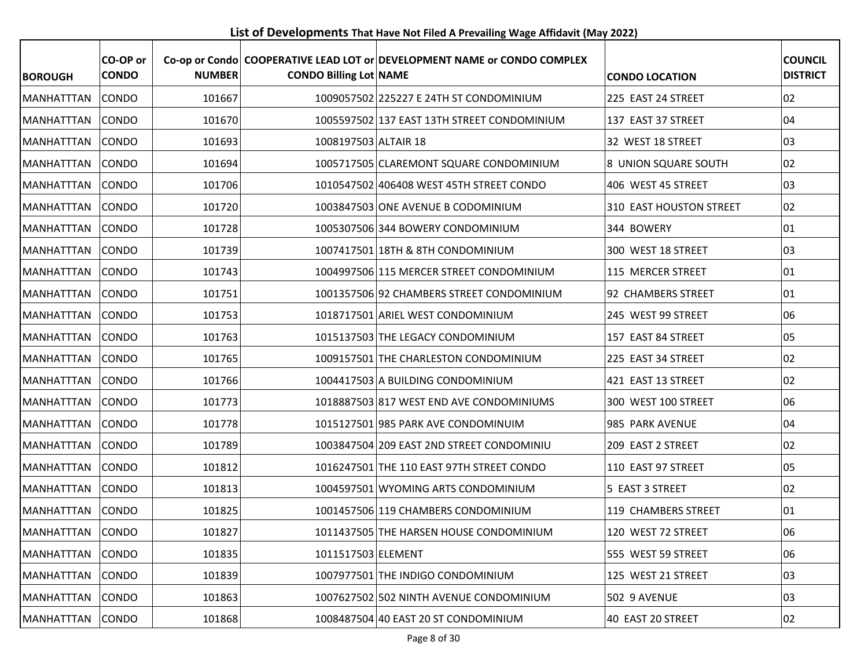**List of Developments That Have Not Filed A Prevailing Wage Affidavit (May 2022)**

| <b>BOROUGH</b>    | CO-OP or<br><b>CONDO</b> | <b>NUMBER</b> | <b>CONDO Billing Lot NAME</b> | Co-op or Condo COOPERATIVE LEAD LOT or DEVELOPMENT NAME or CONDO COMPLEX | <b>CONDO LOCATION</b>   | <b>COUNCIL</b><br><b>DISTRICT</b> |
|-------------------|--------------------------|---------------|-------------------------------|--------------------------------------------------------------------------|-------------------------|-----------------------------------|
| <b>MANHATTTAN</b> | CONDO                    | 101667        |                               | 1009057502 225227 E 24TH ST CONDOMINIUM                                  | 225 EAST 24 STREET      | 02                                |
| <b>MANHATTTAN</b> | <b>CONDO</b>             | 101670        |                               | 1005597502 137 EAST 13TH STREET CONDOMINIUM                              | 137 EAST 37 STREET      | 04                                |
| <b>MANHATTTAN</b> | <b>CONDO</b>             | 101693        | 1008197503 ALTAIR 18          |                                                                          | 32 WEST 18 STREET       | 03                                |
| <b>MANHATTTAN</b> | CONDO                    | 101694        |                               | 1005717505 CLAREMONT SQUARE CONDOMINIUM                                  | 8 UNION SQUARE SOUTH    | 02                                |
| <b>MANHATTTAN</b> | <b>CONDO</b>             | 101706        |                               | 1010547502 406408 WEST 45TH STREET CONDO                                 | 406 WEST 45 STREET      | 03                                |
| <b>MANHATTTAN</b> | <b>CONDO</b>             | 101720        |                               | 1003847503 ONE AVENUE B CODOMINIUM                                       | 310 EAST HOUSTON STREET | 02                                |
| MANHATTTAN        | CONDO                    | 101728        |                               | 1005307506 344 BOWERY CONDOMINIUM                                        | 344 BOWERY              | 01                                |
| <b>MANHATTTAN</b> | <b>CONDO</b>             | 101739        |                               | 1007417501 18TH & 8TH CONDOMINIUM                                        | 300 WEST 18 STREET      | 03                                |
| MANHATTTAN        | <b>CONDO</b>             | 101743        |                               | 1004997506 115 MERCER STREET CONDOMINIUM                                 | 115 MERCER STREET       | 01                                |
| MANHATTTAN        | CONDO                    | 101751        |                               | 1001357506 92 CHAMBERS STREET CONDOMINIUM                                | 92 CHAMBERS STREET      | 01                                |
| <b>MANHATTTAN</b> | <b>CONDO</b>             | 101753        |                               | 1018717501 ARIEL WEST CONDOMINIUM                                        | 245 WEST 99 STREET      | 06                                |
| <b>MANHATTTAN</b> | <b>CONDO</b>             | 101763        |                               | 1015137503 THE LEGACY CONDOMINIUM                                        | 157 EAST 84 STREET      | 05                                |
| <b>MANHATTTAN</b> | <b>CONDO</b>             | 101765        |                               | 1009157501 THE CHARLESTON CONDOMINIUM                                    | 225 EAST 34 STREET      | 02                                |
| <b>MANHATTTAN</b> | CONDO                    | 101766        |                               | 1004417503 A BUILDING CONDOMINIUM                                        | 421 EAST 13 STREET      | 02                                |
| <b>MANHATTTAN</b> | CONDO                    | 101773        |                               | 1018887503 817 WEST END AVE CONDOMINIUMS                                 | 300 WEST 100 STREET     | 06                                |
| <b>MANHATTTAN</b> | CONDO                    | 101778        |                               | 1015127501 985 PARK AVE CONDOMINUIM                                      | 985 PARK AVENUE         | 04                                |
| <b>MANHATTTAN</b> | <b>CONDO</b>             | 101789        |                               | 1003847504 209 EAST 2ND STREET CONDOMINIU                                | 209 EAST 2 STREET       | 02                                |
| MANHATTTAN        | <b>CONDO</b>             | 101812        |                               | 1016247501 THE 110 EAST 97TH STREET CONDO                                | 110 EAST 97 STREET      | 05                                |
| <b>MANHATTTAN</b> | <b>CONDO</b>             | 101813        |                               | 1004597501 WYOMING ARTS CONDOMINIUM                                      | 5 EAST 3 STREET         | 02                                |
| MANHATTTAN        | CONDO                    | 101825        |                               | 1001457506 119 CHAMBERS CONDOMINIUM                                      | 119 CHAMBERS STREET     | 01                                |
| MANHATTTAN CONDO  |                          | 101827        |                               | 1011437505 THE HARSEN HOUSE CONDOMINIUM                                  | 120 WEST 72 STREET      | 06                                |
| MANHATTTAN        | CONDO                    | 101835        | 1011517503 ELEMENT            |                                                                          | 555 WEST 59 STREET      | 06                                |
| <b>MANHATTTAN</b> | <b>CONDO</b>             | 101839        |                               | 1007977501 THE INDIGO CONDOMINIUM                                        | 125 WEST 21 STREET      | 03                                |
| MANHATTTAN        | <b>CONDO</b>             | 101863        |                               | 1007627502 502 NINTH AVENUE CONDOMINIUM                                  | 502 9 AVENUE            | 03                                |
| MANHATTTAN        | CONDO                    | 101868        |                               | 1008487504 40 EAST 20 ST CONDOMINIUM                                     | 40 EAST 20 STREET       | 02                                |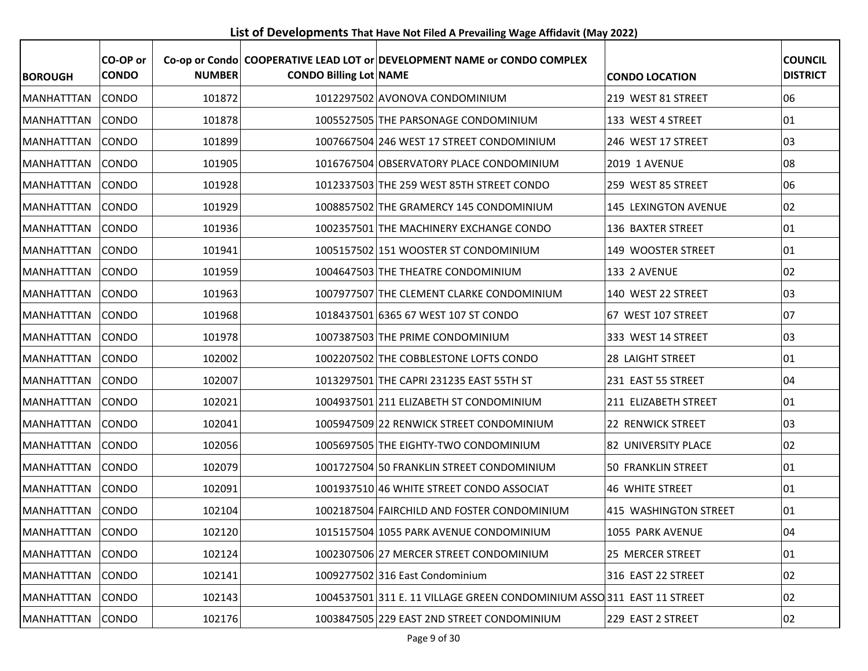**List of Developments That Have Not Filed A Prevailing Wage Affidavit (May 2022)**

| <b>BOROUGH</b>    | CO-OP or<br><b>CONDO</b> | <b>NUMBER</b> | <b>CONDO Billing Lot NAME</b> | Co-op or Condo COOPERATIVE LEAD LOT or DEVELOPMENT NAME or CONDO COMPLEX | <b>CONDO LOCATION</b>        | <b>COUNCIL</b><br><b>DISTRICT</b> |
|-------------------|--------------------------|---------------|-------------------------------|--------------------------------------------------------------------------|------------------------------|-----------------------------------|
| <b>MANHATTTAN</b> | <b>CONDO</b>             | 101872        |                               | 1012297502 AVONOVA CONDOMINIUM                                           | 219 WEST 81 STREET           | 06                                |
| <b>MANHATTTAN</b> | <b>CONDO</b>             | 101878        |                               | 1005527505 THE PARSONAGE CONDOMINIUM                                     | 133 WEST 4 STREET            | 01                                |
| <b>MANHATTTAN</b> | <b>CONDO</b>             | 101899        |                               | 1007667504 246 WEST 17 STREET CONDOMINIUM                                | 246 WEST 17 STREET           | 03                                |
| <b>MANHATTTAN</b> | <b>CONDO</b>             | 101905        |                               | 1016767504 OBSERVATORY PLACE CONDOMINIUM                                 | 2019 1 AVENUE                | 08                                |
| <b>MANHATTTAN</b> | <b>CONDO</b>             | 101928        |                               | 1012337503 THE 259 WEST 85TH STREET CONDO                                | 259 WEST 85 STREET           | 06                                |
| MANHATTTAN        | <b>CONDO</b>             | 101929        |                               | 1008857502 THE GRAMERCY 145 CONDOMINIUM                                  | 145 LEXINGTON AVENUE         | 02                                |
| <b>MANHATTTAN</b> | CONDO                    | 101936        |                               | 1002357501 THE MACHINERY EXCHANGE CONDO                                  | 136 BAXTER STREET            | 01                                |
| <b>MANHATTTAN</b> | <b>CONDO</b>             | 101941        |                               | 1005157502 151 WOOSTER ST CONDOMINIUM                                    | 149 WOOSTER STREET           | 01                                |
| <b>MANHATTTAN</b> | <b>CONDO</b>             | 101959        |                               | 1004647503 THE THEATRE CONDOMINIUM                                       | 133 2 AVENUE                 | 02                                |
| <b>MANHATTTAN</b> | CONDO                    | 101963        |                               | 1007977507 THE CLEMENT CLARKE CONDOMINIUM                                | 140 WEST 22 STREET           | 03                                |
| <b>MANHATTTAN</b> | <b>CONDO</b>             | 101968        |                               | 1018437501 6365 67 WEST 107 ST CONDO                                     | 67 WEST 107 STREET           | 07                                |
| <b>MANHATTTAN</b> | <b>CONDO</b>             | 101978        |                               | 1007387503 THE PRIME CONDOMINIUM                                         | 333 WEST 14 STREET           | 03                                |
| <b>MANHATTTAN</b> | <b>CONDO</b>             | 102002        |                               | 1002207502 THE COBBLESTONE LOFTS CONDO                                   | 28 LAIGHT STREET             | 01                                |
| MANHATTTAN        | <b>CONDO</b>             | 102007        |                               | 1013297501 THE CAPRI 231235 EAST 55TH ST                                 | 231 EAST 55 STREET           | 04                                |
| <b>MANHATTTAN</b> | <b>CONDO</b>             | 102021        |                               | 1004937501 211 ELIZABETH ST CONDOMINIUM                                  | 211 ELIZABETH STREET         | 01                                |
| <b>MANHATTTAN</b> | <b>CONDO</b>             | 102041        |                               | 1005947509 22 RENWICK STREET CONDOMINIUM                                 | 22 RENWICK STREET            | 03                                |
| <b>MANHATTTAN</b> | <b>CONDO</b>             | 102056        |                               | 1005697505 THE EIGHTY-TWO CONDOMINIUM                                    | 82 UNIVERSITY PLACE          | 02                                |
| MANHATTTAN        | <b>CONDO</b>             | 102079        |                               | 1001727504 50 FRANKLIN STREET CONDOMINIUM                                | 50 FRANKLIN STREET           | 01                                |
| <b>MANHATTTAN</b> | <b>CONDO</b>             | 102091        |                               | 1001937510 46 WHITE STREET CONDO ASSOCIAT                                | <b>46 WHITE STREET</b>       | 01                                |
| MANHATTTAN        | <b>CONDO</b>             | 102104        |                               | 1002187504 FAIRCHILD AND FOSTER CONDOMINIUM                              | <b>415 WASHINGTON STREET</b> | 01                                |
| MANHATTTAN CONDO  |                          | 102120        |                               | 1015157504 1055 PARK AVENUE CONDOMINIUM                                  | 1055 PARK AVENUE             | 04                                |
| MANHATTTAN        | <b>CONDO</b>             | 102124        |                               | 1002307506 27 MERCER STREET CONDOMINIUM                                  | 25 MERCER STREET             | 01                                |
| <b>MANHATTTAN</b> | <b>CONDO</b>             | 102141        |                               | 1009277502 316 East Condominium                                          | 316 EAST 22 STREET           | 02                                |
| MANHATTTAN        | <b>CONDO</b>             | 102143        |                               | 1004537501 311 E. 11 VILLAGE GREEN CONDOMINIUM ASSO 311 EAST 11 STREET   |                              | 02                                |
| MANHATTTAN        | <b>CONDO</b>             | 102176        |                               | 1003847505 229 EAST 2ND STREET CONDOMINIUM                               | 229 EAST 2 STREET            | 02                                |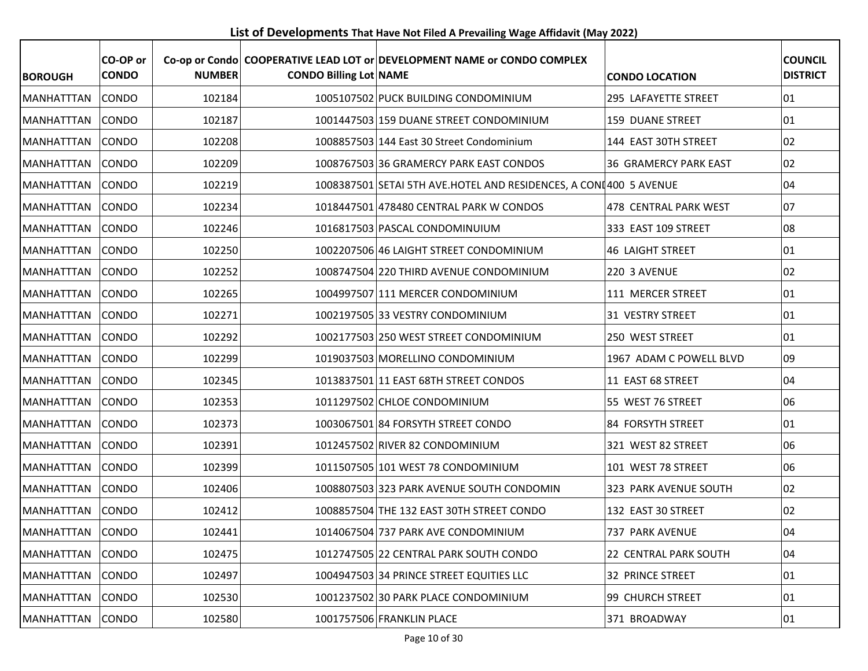**List of Developments That Have Not Filed A Prevailing Wage Affidavit (May 2022)**

| <b>BOROUGH</b>    | CO-OP or<br><b>CONDO</b> | <b>NUMBER</b> | <b>CONDO Billing Lot NAME</b> | Co-op or Condo COOPERATIVE LEAD LOT or DEVELOPMENT NAME or CONDO COMPLEX | <b>CONDO LOCATION</b>        | <b>COUNCIL</b><br><b>DISTRICT</b> |
|-------------------|--------------------------|---------------|-------------------------------|--------------------------------------------------------------------------|------------------------------|-----------------------------------|
| <b>MANHATTTAN</b> | <b>CONDO</b>             | 102184        |                               | 1005107502 PUCK BUILDING CONDOMINIUM                                     | 295 LAFAYETTE STREET         | $ 01\rangle$                      |
| <b>MANHATTTAN</b> | <b>CONDO</b>             | 102187        |                               | 1001447503 159 DUANE STREET CONDOMINIUM                                  | 159 DUANE STREET             | $ 01\rangle$                      |
| <b>MANHATTTAN</b> | <b>CONDO</b>             | 102208        |                               | 1008857503 144 East 30 Street Condominium                                | 144 EAST 30TH STREET         | 02                                |
| <b>MANHATTTAN</b> | <b>CONDO</b>             | 102209        |                               | 1008767503 36 GRAMERCY PARK EAST CONDOS                                  | <b>36 GRAMERCY PARK EAST</b> | 02                                |
| <b>MANHATTTAN</b> | <b>CONDO</b>             | 102219        |                               | 1008387501 SETAI 5TH AVE.HOTEL AND RESIDENCES, A CONI 400 5 AVENUE       |                              | 04                                |
| <b>MANHATTTAN</b> | <b>CONDO</b>             | 102234        |                               | 1018447501 478480 CENTRAL PARK W CONDOS                                  | 478 CENTRAL PARK WEST        | 07                                |
| MANHATTTAN        | CONDO                    | 102246        |                               | 1016817503 PASCAL CONDOMINUIUM                                           | 333 EAST 109 STREET          | 08                                |
| <b>MANHATTTAN</b> | <b>CONDO</b>             | 102250        |                               | 1002207506 46 LAIGHT STREET CONDOMINIUM                                  | <b>46 LAIGHT STREET</b>      | 01                                |
| <b>MANHATTTAN</b> | <b>CONDO</b>             | 102252        |                               | 1008747504 220 THIRD AVENUE CONDOMINIUM                                  | 220 3 AVENUE                 | 02                                |
| MANHATTTAN        | <b>CONDO</b>             | 102265        |                               | 1004997507 111 MERCER CONDOMINIUM                                        | 111 MERCER STREET            | 01                                |
| <b>MANHATTTAN</b> | <b>CONDO</b>             | 102271        |                               | 1002197505 33 VESTRY CONDOMINIUM                                         | 31 VESTRY STREET             | $ 01\rangle$                      |
| <b>MANHATTTAN</b> | <b>CONDO</b>             | 102292        |                               | 1002177503 250 WEST STREET CONDOMINIUM                                   | 250 WEST STREET              | $ 01\rangle$                      |
| <b>MANHATTTAN</b> | <b>CONDO</b>             | 102299        |                               | 1019037503 MORELLINO CONDOMINIUM                                         | 1967 ADAM C POWELL BLVD      | 09                                |
| MANHATTTAN        | <b>CONDO</b>             | 102345        |                               | 1013837501 11 EAST 68TH STREET CONDOS                                    | 11 EAST 68 STREET            | 04                                |
| <b>MANHATTTAN</b> | <b>CONDO</b>             | 102353        |                               | 1011297502 CHLOE CONDOMINIUM                                             | 55 WEST 76 STREET            | 06                                |
| <b>MANHATTTAN</b> | <b>CONDO</b>             | 102373        |                               | 1003067501 84 FORSYTH STREET CONDO                                       | 84 FORSYTH STREET            | $ 01\rangle$                      |
| MANHATTTAN        | <b>CONDO</b>             | 102391        |                               | 1012457502 RIVER 82 CONDOMINIUM                                          | 321 WEST 82 STREET           | 06                                |
| <b>MANHATTTAN</b> | <b>CONDO</b>             | 102399        |                               | 1011507505 101 WEST 78 CONDOMINIUM                                       | 101 WEST 78 STREET           | 06                                |
| MANHATTTAN        | CONDO                    | 102406        |                               | 1008807503 323 PARK AVENUE SOUTH CONDOMIN                                | 323 PARK AVENUE SOUTH        | 02                                |
| MANHATTTAN        | <b>CONDO</b>             | 102412        |                               | 1008857504 THE 132 EAST 30TH STREET CONDO                                | 132 EAST 30 STREET           | 02                                |
| MANHATTTAN CONDO  |                          | 102441        |                               | 1014067504 737 PARK AVE CONDOMINIUM                                      | 737 PARK AVENUE              | 04                                |
| MANHATTTAN        | <b>CONDO</b>             | 102475        |                               | 1012747505 22 CENTRAL PARK SOUTH CONDO                                   | 22 CENTRAL PARK SOUTH        | 04                                |
| <b>MANHATTTAN</b> | <b>CONDO</b>             | 102497        |                               | 1004947503 34 PRINCE STREET EQUITIES LLC                                 | 32 PRINCE STREET             | 01                                |
| MANHATTTAN        | <b>CONDO</b>             | 102530        |                               | 1001237502 30 PARK PLACE CONDOMINIUM                                     | 99 CHURCH STREET             | $ 01\rangle$                      |
| MANHATTTAN        | <b>CONDO</b>             | 102580        |                               | 1001757506 FRANKLIN PLACE                                                | 371 BROADWAY                 | 01                                |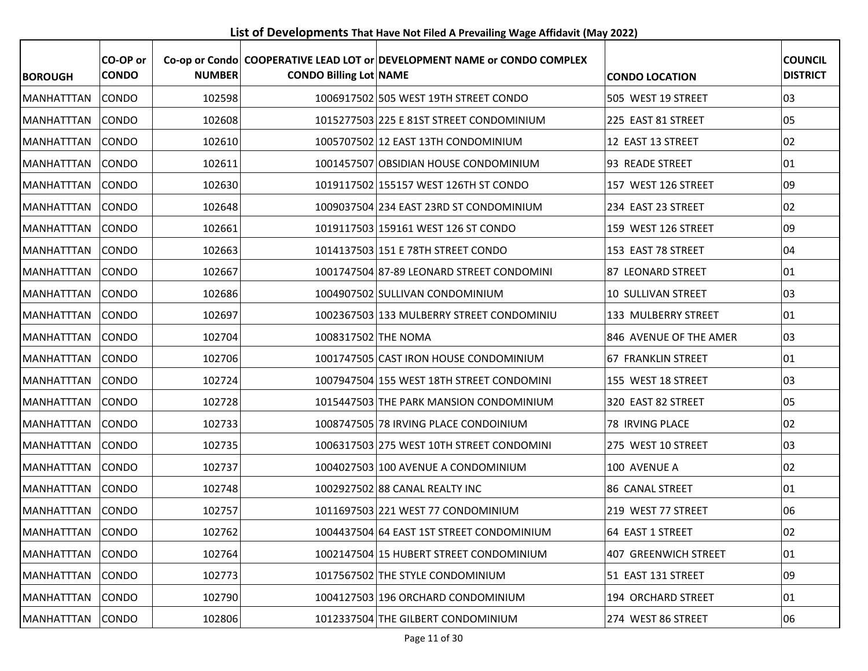**List of Developments That Have Not Filed A Prevailing Wage Affidavit (May 2022)**

| <b>BOROUGH</b>    | CO-OP or<br><b>CONDO</b> | <b>NUMBER</b> | <b>CONDO Billing Lot NAME</b> | Co-op or Condo COOPERATIVE LEAD LOT or DEVELOPMENT NAME or CONDO COMPLEX | <b>CONDO LOCATION</b>       | <b>COUNCIL</b><br><b>DISTRICT</b> |
|-------------------|--------------------------|---------------|-------------------------------|--------------------------------------------------------------------------|-----------------------------|-----------------------------------|
| <b>MANHATTTAN</b> | <b>CONDO</b>             | 102598        |                               | 1006917502 505 WEST 19TH STREET CONDO                                    | 505 WEST 19 STREET          | 03                                |
| <b>MANHATTTAN</b> | <b>CONDO</b>             | 102608        |                               | 1015277503 225 E 81ST STREET CONDOMINIUM                                 | 225 EAST 81 STREET          | 05                                |
| <b>MANHATTTAN</b> | <b>CONDO</b>             | 102610        |                               | 1005707502 12 EAST 13TH CONDOMINIUM                                      | 12 EAST 13 STREET           | 02                                |
| <b>MANHATTTAN</b> | <b>CONDO</b>             | 102611        |                               | 1001457507 OBSIDIAN HOUSE CONDOMINIUM                                    | 93 READE STREET             | 01                                |
| <b>MANHATTTAN</b> | <b>CONDO</b>             | 102630        |                               | 1019117502 155157 WEST 126TH ST CONDO                                    | 157 WEST 126 STREET         | 09                                |
| MANHATTTAN        | <b>CONDO</b>             | 102648        |                               | 1009037504 234 EAST 23RD ST CONDOMINIUM                                  | 234 EAST 23 STREET          | 02                                |
| <b>MANHATTTAN</b> | CONDO                    | 102661        |                               | 1019117503 159161 WEST 126 ST CONDO                                      | 159 WEST 126 STREET         | 09                                |
| <b>MANHATTTAN</b> | <b>CONDO</b>             | 102663        |                               | 1014137503 151 E 78TH STREET CONDO                                       | 153 EAST 78 STREET          | 04                                |
| MANHATTTAN        | <b>CONDO</b>             | 102667        |                               | 1001747504 87-89 LEONARD STREET CONDOMINI                                | 87 LEONARD STREET           | 01                                |
| <b>MANHATTTAN</b> | <b>CONDO</b>             | 102686        |                               | 1004907502 SULLIVAN CONDOMINIUM                                          | 10 SULLIVAN STREET          | 03                                |
| <b>MANHATTTAN</b> | <b>CONDO</b>             | 102697        |                               | 1002367503 133 MULBERRY STREET CONDOMINIU                                | 133 MULBERRY STREET         | 01                                |
| MANHATTTAN        | <b>CONDO</b>             | 102704        | 1008317502 THE NOMA           |                                                                          | 846 AVENUE OF THE AMER      | 03                                |
| <b>MANHATTTAN</b> | <b>CONDO</b>             | 102706        |                               | 1001747505 CAST IRON HOUSE CONDOMINIUM                                   | <b>67 FRANKLIN STREET</b>   | 01                                |
| MANHATTTAN        | <b>CONDO</b>             | 102724        |                               | 1007947504 155 WEST 18TH STREET CONDOMINI                                | 155 WEST 18 STREET          | 03                                |
| <b>MANHATTTAN</b> | <b>CONDO</b>             | 102728        |                               | 1015447503 THE PARK MANSION CONDOMINIUM                                  | 320 EAST 82 STREET          | 05                                |
| <b>MANHATTTAN</b> | <b>CONDO</b>             | 102733        |                               | 1008747505 78 IRVING PLACE CONDOINIUM                                    | 78 IRVING PLACE             | 02                                |
| <b>MANHATTTAN</b> | <b>CONDO</b>             | 102735        |                               | 1006317503 275 WEST 10TH STREET CONDOMINI                                | 275 WEST 10 STREET          | 03                                |
| MANHATTTAN        | <b>CONDO</b>             | 102737        |                               | 1004027503 100 AVENUE A CONDOMINIUM                                      | 100 AVENUE A                | 02                                |
| <b>MANHATTTAN</b> | <b>CONDO</b>             | 102748        |                               | 1002927502 88 CANAL REALTY INC                                           | 86 CANAL STREET             | 01                                |
| MANHATTTAN        | <b>CONDO</b>             | 102757        |                               | 1011697503 221 WEST 77 CONDOMINIUM                                       | 219 WEST 77 STREET          | 06                                |
| MANHATTTAN CONDO  |                          | 102762        |                               | 1004437504 64 EAST 1ST STREET CONDOMINIUM                                | 64 EAST 1 STREET            | 02                                |
| MANHATTTAN        | <b>CONDO</b>             | 102764        |                               | 1002147504 15 HUBERT STREET CONDOMINIUM                                  | <b>407 GREENWICH STREET</b> | 01                                |
| <b>MANHATTTAN</b> | <b>CONDO</b>             | 102773        |                               | 1017567502 THE STYLE CONDOMINIUM                                         | 51 EAST 131 STREET          | 09                                |
| MANHATTTAN        | CONDO                    | 102790        |                               | 1004127503 196 ORCHARD CONDOMINIUM                                       | 194 ORCHARD STREET          | 01                                |
| MANHATTTAN        | <b>CONDO</b>             | 102806        |                               | 1012337504 THE GILBERT CONDOMINIUM                                       | 274 WEST 86 STREET          | 06                                |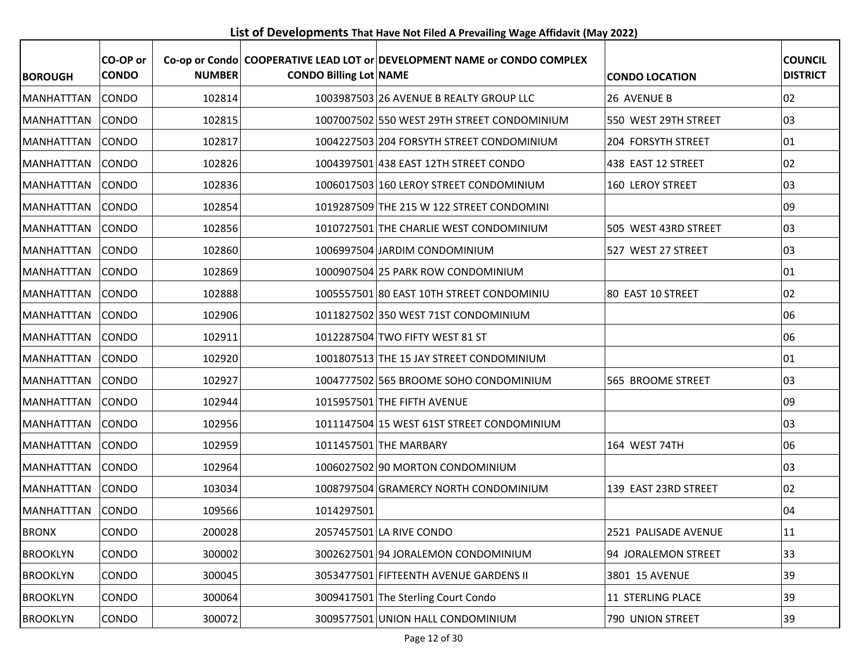**List of Developments That Have Not Filed A Prevailing Wage Affidavit (May 2022)**

| <b>BOROUGH</b>    | CO-OP or<br><b>CONDO</b> | <b>NUMBER</b> | <b>CONDO Billing Lot NAME</b> | Co-op or Condo COOPERATIVE LEAD LOT or DEVELOPMENT NAME or CONDO COMPLEX | <b>CONDO LOCATION</b>     | <b>COUNCIL</b><br><b>DISTRICT</b> |
|-------------------|--------------------------|---------------|-------------------------------|--------------------------------------------------------------------------|---------------------------|-----------------------------------|
| <b>MANHATTTAN</b> | <b>CONDO</b>             | 102814        |                               | 1003987503 26 AVENUE B REALTY GROUP LLC                                  | 26 AVENUE B               | 02                                |
| <b>MANHATTTAN</b> | <b>CONDO</b>             | 102815        |                               | 1007007502 550 WEST 29TH STREET CONDOMINIUM                              | 550 WEST 29TH STREET      | 03                                |
| <b>MANHATTTAN</b> | <b>CONDO</b>             | 102817        |                               | 1004227503 204 FORSYTH STREET CONDOMINIUM                                | <b>204 FORSYTH STREET</b> | 01                                |
| <b>MANHATTTAN</b> | CONDO                    | 102826        |                               | 1004397501 438 EAST 12TH STREET CONDO                                    | 438 EAST 12 STREET        | 02                                |
| <b>MANHATTTAN</b> | <b>CONDO</b>             | 102836        |                               | 1006017503 160 LEROY STREET CONDOMINIUM                                  | 160 LEROY STREET          | 03                                |
| <b>MANHATTTAN</b> | <b>CONDO</b>             | 102854        |                               | 1019287509 THE 215 W 122 STREET CONDOMINI                                |                           | 09                                |
| <b>MANHATTTAN</b> | CONDO                    | 102856        |                               | 1010727501 THE CHARLIE WEST CONDOMINIUM                                  | 505 WEST 43RD STREET      | 03                                |
| <b>MANHATTTAN</b> | <b>CONDO</b>             | 102860        |                               | 1006997504 JARDIM CONDOMINIUM                                            | 527 WEST 27 STREET        | 03                                |
| <b>MANHATTTAN</b> | <b>CONDO</b>             | 102869        |                               | 1000907504 25 PARK ROW CONDOMINIUM                                       |                           | 01                                |
| MANHATTTAN        | CONDO                    | 102888        |                               | 1005557501 80 EAST 10TH STREET CONDOMINIU                                | 80 EAST 10 STREET         | 02                                |
| <b>MANHATTTAN</b> | <b>CONDO</b>             | 102906        |                               | 1011827502 350 WEST 71ST CONDOMINIUM                                     |                           | 06                                |
| <b>MANHATTTAN</b> | <b>CONDO</b>             | 102911        |                               | 1012287504 TWO FIFTY WEST 81 ST                                          |                           | 06                                |
| <b>MANHATTTAN</b> | <b>CONDO</b>             | 102920        |                               | 1001807513 THE 15 JAY STREET CONDOMINIUM                                 |                           | 01                                |
| <b>MANHATTTAN</b> | CONDO                    | 102927        |                               | 1004777502 565 BROOME SOHO CONDOMINIUM                                   | 565 BROOME STREET         | 03                                |
| <b>MANHATTTAN</b> | CONDO                    | 102944        |                               | 1015957501 THE FIFTH AVENUE                                              |                           | 09                                |
| <b>MANHATTTAN</b> | <b>CONDO</b>             | 102956        |                               | 1011147504 15 WEST 61ST STREET CONDOMINIUM                               |                           | 03                                |
| <b>MANHATTTAN</b> | CONDO                    | 102959        |                               | 1011457501 THE MARBARY                                                   | 164 WEST 74TH             | 06                                |
| <b>MANHATTTAN</b> | CONDO                    | 102964        |                               | 1006027502 90 MORTON CONDOMINIUM                                         |                           | 03                                |
| <b>MANHATTTAN</b> | CONDO                    | 103034        |                               | 1008797504 GRAMERCY NORTH CONDOMINIUM                                    | 139 EAST 23RD STREET      | 02                                |
| <b>MANHATTTAN</b> | CONDO                    | 109566        | 1014297501                    |                                                                          |                           | 04                                |
| <b>BRONX</b>      | CONDO                    | 200028        |                               | 2057457501 LA RIVE CONDO                                                 | 2521 PALISADE AVENUE      | 11                                |
| <b>BROOKLYN</b>   | <b>CONDO</b>             | 300002        |                               | 3002627501 94 JORALEMON CONDOMINIUM                                      | 94 JORALEMON STREET       | 33                                |
| <b>BROOKLYN</b>   | <b>CONDO</b>             | 300045        |                               | 3053477501 FIFTEENTH AVENUE GARDENS II                                   | 3801 15 AVENUE            | 39                                |
| <b>BROOKLYN</b>   | <b>CONDO</b>             | 300064        |                               | 3009417501 The Sterling Court Condo                                      | 11 STERLING PLACE         | 39                                |
| <b>BROOKLYN</b>   | <b>CONDO</b>             | 300072        |                               | 3009577501 UNION HALL CONDOMINIUM                                        | 790 UNION STREET          | 39                                |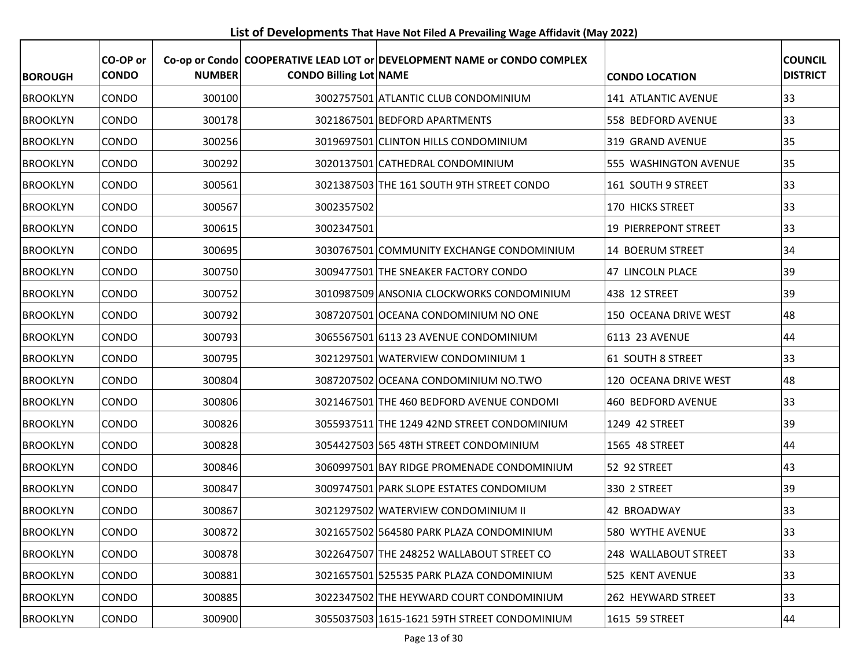**List of Developments That Have Not Filed A Prevailing Wage Affidavit (May 2022)**

| <b>BOROUGH</b>  | CO-OP or<br><b>CONDO</b> | <b>NUMBER</b> | <b>CONDO Billing Lot NAME</b> | Co-op or Condo COOPERATIVE LEAD LOT or DEVELOPMENT NAME or CONDO COMPLEX | <b>CONDO LOCATION</b>  | <b>COUNCIL</b><br><b>DISTRICT</b> |
|-----------------|--------------------------|---------------|-------------------------------|--------------------------------------------------------------------------|------------------------|-----------------------------------|
| <b>BROOKLYN</b> | CONDO                    | 300100        |                               | 3002757501 ATLANTIC CLUB CONDOMINIUM                                     | 141 ATLANTIC AVENUE    | 33                                |
| <b>BROOKLYN</b> | CONDO                    | 300178        |                               | 3021867501 BEDFORD APARTMENTS                                            | 558 BEDFORD AVENUE     | 33                                |
| <b>BROOKLYN</b> | CONDO                    | 300256        |                               | 3019697501 CLINTON HILLS CONDOMINIUM                                     | 319 GRAND AVENUE       | 35                                |
| <b>BROOKLYN</b> | <b>CONDO</b>             | 300292        |                               | 3020137501 CATHEDRAL CONDOMINIUM                                         | 555 WASHINGTON AVENUE  | 35                                |
| <b>BROOKLYN</b> | CONDO                    | 300561        |                               | 3021387503 THE 161 SOUTH 9TH STREET CONDO                                | $ 161 $ SOUTH 9 STREET | 33                                |
| <b>BROOKLYN</b> | CONDO                    | 300567        | 3002357502                    |                                                                          | 170 HICKS STREET       | 33                                |
| <b>BROOKLYN</b> | CONDO                    | 300615        | 3002347501                    |                                                                          | 19 PIERREPONT STREET   | 33                                |
| <b>BROOKLYN</b> | CONDO                    | 300695        |                               | 3030767501 COMMUNITY EXCHANGE CONDOMINIUM                                | 14 BOERUM STREET       | 34                                |
| <b>BROOKLYN</b> | <b>CONDO</b>             | 300750        |                               | 3009477501 THE SNEAKER FACTORY CONDO                                     | 47 LINCOLN PLACE       | 39                                |
| <b>BROOKLYN</b> | CONDO                    | 300752        |                               | 3010987509 ANSONIA CLOCKWORKS CONDOMINIUM                                | 438 12 STREET          | 39                                |
| <b>BROOKLYN</b> | <b>CONDO</b>             | 300792        |                               | 3087207501 OCEANA CONDOMINIUM NO ONE                                     | 150 OCEANA DRIVE WEST  | 48                                |
| <b>BROOKLYN</b> | CONDO                    | 300793        |                               | 3065567501 6113 23 AVENUE CONDOMINIUM                                    | 6113 23 AVENUE         | 44                                |
| <b>BROOKLYN</b> | <b>CONDO</b>             | 300795        |                               | 3021297501 WATERVIEW CONDOMINIUM 1                                       | 61 SOUTH 8 STREET      | 33                                |
| <b>BROOKLYN</b> | <b>CONDO</b>             | 300804        |                               | 3087207502 OCEANA CONDOMINIUM NO.TWO                                     | 120 OCEANA DRIVE WEST  | 48                                |
| <b>BROOKLYN</b> | CONDO                    | 300806        |                               | 3021467501 THE 460 BEDFORD AVENUE CONDOMI                                | 460 BEDFORD AVENUE     | 33                                |
| <b>BROOKLYN</b> | CONDO                    | 300826        |                               | 3055937511 THE 1249 42ND STREET CONDOMINIUM                              | 1249 42 STREET         | 39                                |
| <b>BROOKLYN</b> | <b>CONDO</b>             | 300828        |                               | 3054427503 565 48TH STREET CONDOMINIUM                                   | 1565 48 STREET         | 44                                |
| <b>BROOKLYN</b> | CONDO                    | 300846        |                               | 3060997501 BAY RIDGE PROMENADE CONDOMINIUM                               | 52 92 STREET           | 43                                |
| <b>BROOKLYN</b> | <b>CONDO</b>             | 300847        |                               | 3009747501 PARK SLOPE ESTATES CONDOMIUM                                  | 330 2 STREET           | 39                                |
| <b>BROOKLYN</b> | CONDO                    | 300867        |                               | 3021297502 WATERVIEW CONDOMINIUM II                                      | 42 BROADWAY            | 33                                |
| <b>BROOKLYN</b> | CONDO                    | 300872        |                               | 3021657502 564580 PARK PLAZA CONDOMINIUM                                 | 580 WYTHE AVENUE       | 33                                |
| <b>BROOKLYN</b> | <b>CONDO</b>             | 300878        |                               | 3022647507 THE 248252 WALLABOUT STREET CO                                | 248 WALLABOUT STREET   | 33                                |
| <b>BROOKLYN</b> | <b>CONDO</b>             | 300881        |                               | 3021657501 525535 PARK PLAZA CONDOMINIUM                                 | 525 KENT AVENUE        | 33                                |
| <b>BROOKLYN</b> | <b>CONDO</b>             | 300885        |                               | 3022347502 THE HEYWARD COURT CONDOMINIUM                                 | 262 HEYWARD STREET     | 33                                |
| <b>BROOKLYN</b> | <b>CONDO</b>             | 300900        |                               | 3055037503 1615-1621 59TH STREET CONDOMINIUM                             | 1615 59 STREET         | 44                                |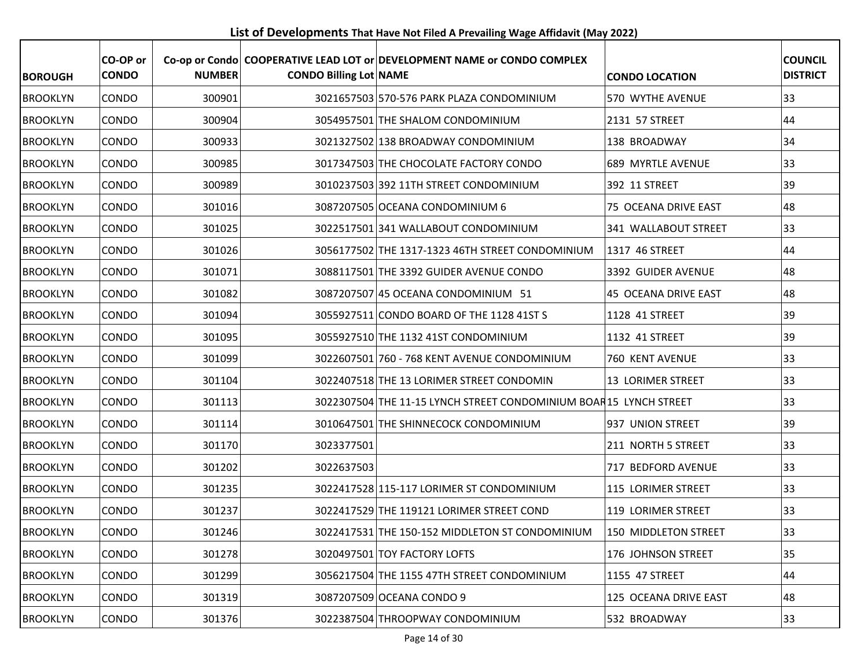**List of Developments That Have Not Filed A Prevailing Wage Affidavit (May 2022)**

| <b>BOROUGH</b>  | CO-OP or<br><b>CONDO</b> | <b>NUMBER</b> | <b>CONDO Billing Lot NAME</b> | Co-op or Condo COOPERATIVE LEAD LOT or DEVELOPMENT NAME or CONDO COMPLEX | <b>CONDO LOCATION</b> | <b>COUNCIL</b><br><b>DISTRICT</b> |
|-----------------|--------------------------|---------------|-------------------------------|--------------------------------------------------------------------------|-----------------------|-----------------------------------|
| <b>BROOKLYN</b> | <b>CONDO</b>             | 300901        |                               | 3021657503 570-576 PARK PLAZA CONDOMINIUM                                | 570 WYTHE AVENUE      | 33                                |
| <b>BROOKLYN</b> | CONDO                    | 300904        |                               | 3054957501 THE SHALOM CONDOMINIUM                                        | 2131 57 STREET        | 44                                |
| <b>BROOKLYN</b> | CONDO                    | 300933        |                               | 3021327502 138 BROADWAY CONDOMINIUM                                      | 138 BROADWAY          | 34                                |
| <b>BROOKLYN</b> | <b>CONDO</b>             | 300985        |                               | 3017347503 THE CHOCOLATE FACTORY CONDO                                   | 689 MYRTLE AVENUE     | 33                                |
| <b>BROOKLYN</b> | CONDO                    | 300989        |                               | 3010237503 392 11TH STREET CONDOMINIUM                                   | 392 11 STREET         | 39                                |
| <b>BROOKLYN</b> | CONDO                    | 301016        |                               | 3087207505 OCEANA CONDOMINIUM 6                                          | 75 OCEANA DRIVE EAST  | 48                                |
| <b>BROOKLYN</b> | <b>CONDO</b>             | 301025        |                               | 3022517501 341 WALLABOUT CONDOMINIUM                                     | 341 WALLABOUT STREET  | 33                                |
| <b>BROOKLYN</b> | CONDO                    | 301026        |                               | 3056177502 THE 1317-1323 46TH STREET CONDOMINIUM                         | 1317 46 STREET        | 44                                |
| <b>BROOKLYN</b> | CONDO                    | 301071        |                               | 3088117501 THE 3392 GUIDER AVENUE CONDO                                  | 3392 GUIDER AVENUE    | 48                                |
| <b>BROOKLYN</b> | <b>CONDO</b>             | 301082        |                               | 3087207507 45 OCEANA CONDOMINIUM 51                                      | 45 OCEANA DRIVE EAST  | 48                                |
| <b>BROOKLYN</b> | <b>CONDO</b>             | 301094        |                               | 3055927511 CONDO BOARD OF THE 1128 41ST S                                | 1128 41 STREET        | 39                                |
| <b>BROOKLYN</b> | <b>CONDO</b>             | 301095        |                               | 3055927510 THE 1132 41ST CONDOMINIUM                                     | 1132 41 STREET        | 39                                |
| <b>BROOKLYN</b> | CONDO                    | 301099        |                               | 3022607501 760 - 768 KENT AVENUE CONDOMINIUM                             | 760 KENT AVENUE       | 33                                |
| <b>BROOKLYN</b> | <b>CONDO</b>             | 301104        |                               | 3022407518 THE 13 LORIMER STREET CONDOMIN                                | 13 LORIMER STREET     | 33                                |
| <b>BROOKLYN</b> | CONDO                    | 301113        |                               | 3022307504 THE 11-15 LYNCH STREET CONDOMINIUM BOAR15 LYNCH STREET        |                       | 33                                |
| <b>BROOKLYN</b> | <b>CONDO</b>             | 301114        |                               | 3010647501 THE SHINNECOCK CONDOMINIUM                                    | 937 UNION STREET      | 39                                |
| <b>BROOKLYN</b> | CONDO                    | 301170        | 3023377501                    |                                                                          | 211 NORTH 5 STREET    | 33                                |
| <b>BROOKLYN</b> | CONDO                    | 301202        | 3022637503                    |                                                                          | 717 BEDFORD AVENUE    | 33                                |
| <b>BROOKLYN</b> | CONDO                    | 301235        |                               | 3022417528 115-117 LORIMER ST CONDOMINIUM                                | 115 LORIMER STREET    | 33                                |
| <b>BROOKLYN</b> | CONDO                    | 301237        |                               | 3022417529 THE 119121 LORIMER STREET COND                                | 119 LORIMER STREET    | 33                                |
| <b>BROOKLYN</b> | CONDO                    | 301246        |                               | 3022417531 THE 150-152 MIDDLETON ST CONDOMINIUM                          | 150 MIDDLETON STREET  | 33                                |
| <b>BROOKLYN</b> | <b>CONDO</b>             | 301278        |                               | 3020497501 TOY FACTORY LOFTS                                             | 176 JOHNSON STREET    | 35                                |
| <b>BROOKLYN</b> | <b>CONDO</b>             | 301299        |                               | 3056217504 THE 1155 47TH STREET CONDOMINIUM                              | 1155 47 STREET        | 44                                |
| <b>BROOKLYN</b> | <b>CONDO</b>             | 301319        |                               | 3087207509 OCEANA CONDO 9                                                | 125 OCEANA DRIVE EAST | 48                                |
| <b>BROOKLYN</b> | <b>CONDO</b>             | 301376        |                               | 3022387504 THROOPWAY CONDOMINIUM                                         | 532 BROADWAY          | 33                                |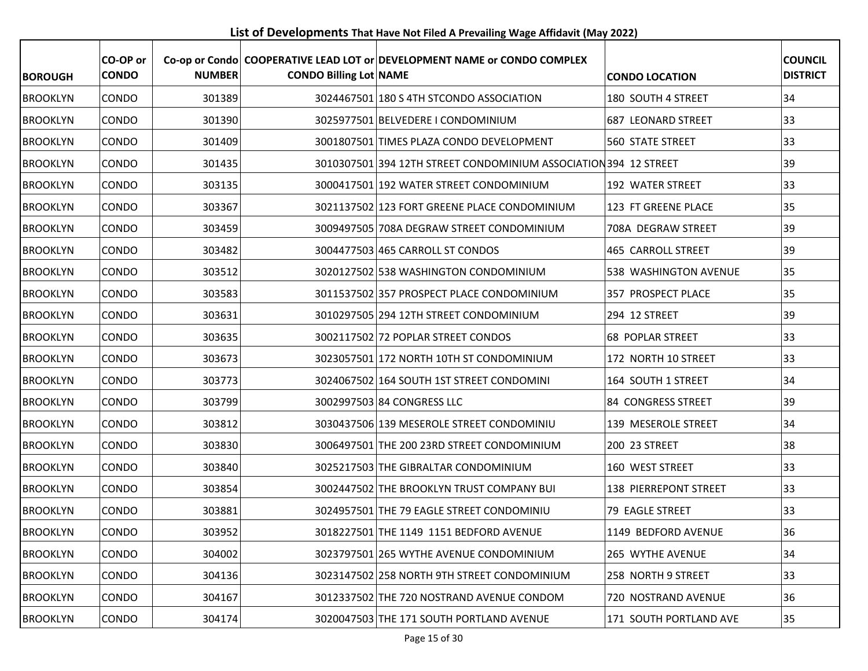**List of Developments That Have Not Filed A Prevailing Wage Affidavit (May 2022)**

| <b>BOROUGH</b>  | CO-OP or<br><b>CONDO</b> | <b>NUMBER</b> | <b>CONDO Billing Lot NAME</b> | Co-op or Condo COOPERATIVE LEAD LOT or DEVELOPMENT NAME or CONDO COMPLEX | <b>CONDO LOCATION</b>   | <b>COUNCIL</b><br><b>DISTRICT</b> |
|-----------------|--------------------------|---------------|-------------------------------|--------------------------------------------------------------------------|-------------------------|-----------------------------------|
| <b>BROOKLYN</b> | <b>CONDO</b>             | 301389        |                               | 3024467501 180 S 4TH STCONDO ASSOCIATION                                 | 180 SOUTH 4 STREET      | 34                                |
| <b>BROOKLYN</b> | CONDO                    | 301390        |                               | 3025977501 BELVEDERE I CONDOMINIUM                                       | 687 LEONARD STREET      | 33                                |
| <b>BROOKLYN</b> | CONDO                    | 301409        |                               | 3001807501 TIMES PLAZA CONDO DEVELOPMENT                                 | <b>560 STATE STREET</b> | 33                                |
| <b>BROOKLYN</b> | CONDO                    | 301435        |                               | 3010307501 394 12TH STREET CONDOMINIUM ASSOCIATION 394 12 STREET         |                         | 39                                |
| <b>BROOKLYN</b> | <b>CONDO</b>             | 303135        |                               | 3000417501 192 WATER STREET CONDOMINIUM                                  | 192 WATER STREET        | 33                                |
| <b>BROOKLYN</b> | CONDO                    | 303367        |                               | 3021137502 123 FORT GREENE PLACE CONDOMINIUM                             | 123 FT GREENE PLACE     | 35                                |
| <b>BROOKLYN</b> | <b>CONDO</b>             | 303459        |                               | 3009497505 708A DEGRAW STREET CONDOMINIUM                                | 708A DEGRAW STREET      | 39                                |
| <b>BROOKLYN</b> | <b>CONDO</b>             | 303482        |                               | 3004477503 465 CARROLL ST CONDOS                                         | 465 CARROLL STREET      | 39                                |
| <b>BROOKLYN</b> | CONDO                    | 303512        |                               | 3020127502 538 WASHINGTON CONDOMINIUM                                    | 538 WASHINGTON AVENUE   | 35                                |
| <b>BROOKLYN</b> | <b>CONDO</b>             | 303583        |                               | 3011537502 357 PROSPECT PLACE CONDOMINIUM                                | 357 PROSPECT PLACE      | 35                                |
| <b>BROOKLYN</b> | <b>CONDO</b>             | 303631        |                               | 3010297505 294 12TH STREET CONDOMINIUM                                   | 294 12 STREET           | 39                                |
| <b>BROOKLYN</b> | CONDO                    | 303635        |                               | 3002117502 72 POPLAR STREET CONDOS                                       | <b>68 POPLAR STREET</b> | 33                                |
| <b>BROOKLYN</b> | CONDO                    | 303673        |                               | 3023057501 172 NORTH 10TH ST CONDOMINIUM                                 | 172 NORTH 10 STREET     | 33                                |
| <b>BROOKLYN</b> | CONDO                    | 303773        |                               | 3024067502 164 SOUTH 1ST STREET CONDOMINI                                | 164 SOUTH 1 STREET      | 34                                |
| <b>BROOKLYN</b> | CONDO                    | 303799        |                               | 3002997503 84 CONGRESS LLC                                               | 84 CONGRESS STREET      | 39                                |
| <b>BROOKLYN</b> | <b>CONDO</b>             | 303812        |                               | 3030437506 139 MESEROLE STREET CONDOMINIU                                | 139 MESEROLE STREET     | 34                                |
| <b>BROOKLYN</b> | CONDO                    | 303830        |                               | 3006497501 THE 200 23RD STREET CONDOMINIUM                               | 200 23 STREET           | 38                                |
| <b>BROOKLYN</b> | CONDO                    | 303840        |                               | 3025217503 THE GIBRALTAR CONDOMINIUM                                     | 160 WEST STREET         | 33                                |
| <b>BROOKLYN</b> | CONDO                    | 303854        |                               | 3002447502 THE BROOKLYN TRUST COMPANY BUI                                | 138 PIERREPONT STREET   | 33                                |
| <b>BROOKLYN</b> | CONDO                    | 303881        |                               | 3024957501 THE 79 EAGLE STREET CONDOMINIU                                | 79 EAGLE STREET         | 33                                |
| <b>BROOKLYN</b> | CONDO                    | 303952        |                               | 3018227501 THE 1149 1151 BEDFORD AVENUE                                  | 1149 BEDFORD AVENUE     | 36                                |
| <b>BROOKLYN</b> | <b>CONDO</b>             | 304002        |                               | 3023797501 265 WYTHE AVENUE CONDOMINIUM                                  | 265 WYTHE AVENUE        | 34                                |
| <b>BROOKLYN</b> | CONDO                    | 304136        |                               | 3023147502 258 NORTH 9TH STREET CONDOMINIUM                              | 258 NORTH 9 STREET      | 33                                |
| <b>BROOKLYN</b> | <b>CONDO</b>             | 304167        |                               | 3012337502 THE 720 NOSTRAND AVENUE CONDOM                                | 720 NOSTRAND AVENUE     | 36                                |
| <b>BROOKLYN</b> | <b>CONDO</b>             | 304174        |                               | 3020047503 THE 171 SOUTH PORTLAND AVENUE                                 | 171 SOUTH PORTLAND AVE  | 35                                |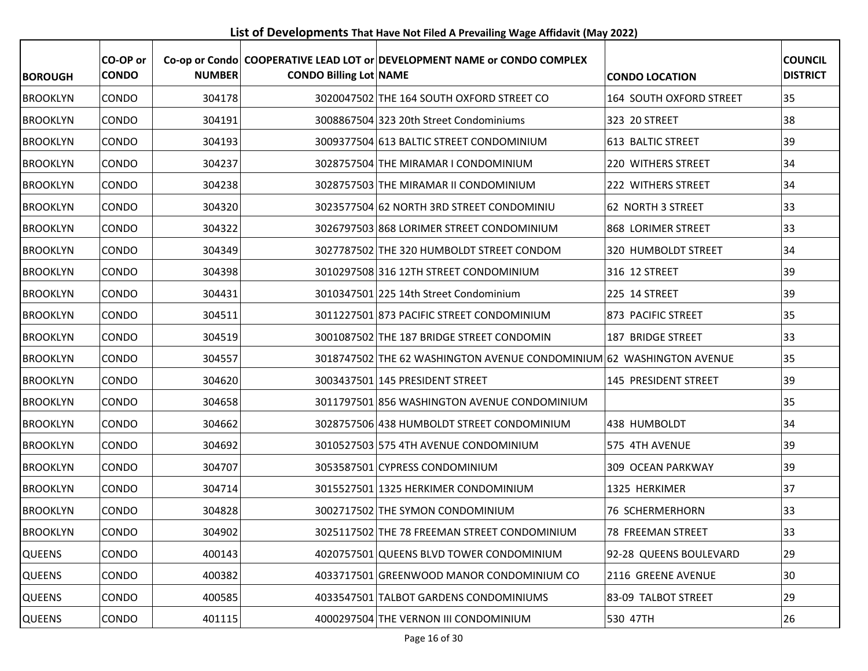**List of Developments That Have Not Filed A Prevailing Wage Affidavit (May 2022)**

| <b>BOROUGH</b>  | CO-OP or<br><b>CONDO</b> | <b>NUMBER</b> | <b>CONDO Billing Lot NAME</b> | Co-op or Condo COOPERATIVE LEAD LOT or DEVELOPMENT NAME or CONDO COMPLEX | <b>CONDO LOCATION</b>   | <b>COUNCIL</b><br><b>DISTRICT</b> |
|-----------------|--------------------------|---------------|-------------------------------|--------------------------------------------------------------------------|-------------------------|-----------------------------------|
| <b>BROOKLYN</b> | <b>CONDO</b>             | 304178        |                               | 3020047502 THE 164 SOUTH OXFORD STREET CO                                | 164 SOUTH OXFORD STREET | 35                                |
| <b>BROOKLYN</b> | <b>CONDO</b>             | 304191        |                               | 3008867504 323 20th Street Condominiums                                  | 323 20 STREET           | 38                                |
| <b>BROOKLYN</b> | <b>CONDO</b>             | 304193        |                               | 3009377504 613 BALTIC STREET CONDOMINIUM                                 | 613 BALTIC STREET       | 39                                |
| <b>BROOKLYN</b> | <b>CONDO</b>             | 304237        |                               | 3028757504 THE MIRAMAR I CONDOMINIUM                                     | 220 WITHERS STREET      | 34                                |
| <b>BROOKLYN</b> | <b>CONDO</b>             | 304238        |                               | 3028757503 THE MIRAMAR II CONDOMINIUM                                    | 222 WITHERS STREET      | 34                                |
| <b>BROOKLYN</b> | <b>CONDO</b>             | 304320        |                               | 3023577504 62 NORTH 3RD STREET CONDOMINIU                                | 62 NORTH 3 STREET       | 33                                |
| <b>BROOKLYN</b> | <b>CONDO</b>             | 304322        |                               | 3026797503 868 LORIMER STREET CONDOMINIUM                                | 868 LORIMER STREET      | 33                                |
| <b>BROOKLYN</b> | <b>CONDO</b>             | 304349        |                               | 3027787502 THE 320 HUMBOLDT STREET CONDOM                                | 320 HUMBOLDT STREET     | 34                                |
| <b>BROOKLYN</b> | <b>CONDO</b>             | 304398        |                               | 3010297508 316 12TH STREET CONDOMINIUM                                   | 316 12 STREET           | 39                                |
| <b>BROOKLYN</b> | <b>CONDO</b>             | 304431        |                               | 3010347501 225 14th Street Condominium                                   | 225 14 STREET           | 39                                |
| <b>BROOKLYN</b> | <b>CONDO</b>             | 304511        |                               | 3011227501 873 PACIFIC STREET CONDOMINIUM                                | 873 PACIFIC STREET      | 35                                |
| <b>BROOKLYN</b> | <b>CONDO</b>             | 304519        |                               | 3001087502 THE 187 BRIDGE STREET CONDOMIN                                | 187 BRIDGE STREET       | 33                                |
| <b>BROOKLYN</b> | <b>CONDO</b>             | 304557        |                               | 3018747502 THE 62 WASHINGTON AVENUE CONDOMINIUM 62 WASHINGTON AVENUE     |                         | 35                                |
| <b>BROOKLYN</b> | <b>CONDO</b>             | 304620        |                               | 3003437501 145 PRESIDENT STREET                                          | 145 PRESIDENT STREET    | 39                                |
| <b>BROOKLYN</b> | <b>CONDO</b>             | 304658        |                               | 3011797501 856 WASHINGTON AVENUE CONDOMINIUM                             |                         | 35                                |
| <b>BROOKLYN</b> | <b>CONDO</b>             | 304662        |                               | 3028757506 438 HUMBOLDT STREET CONDOMINIUM                               | 438 HUMBOLDT            | 34                                |
| <b>BROOKLYN</b> | <b>CONDO</b>             | 304692        |                               | 3010527503 575 4TH AVENUE CONDOMINIUM                                    | 575 4TH AVENUE          | 39                                |
| <b>BROOKLYN</b> | <b>CONDO</b>             | 304707        |                               | 3053587501 CYPRESS CONDOMINIUM                                           | 309 OCEAN PARKWAY       | 39                                |
| <b>BROOKLYN</b> | <b>CONDO</b>             | 304714        |                               | 3015527501 1325 HERKIMER CONDOMINIUM                                     | 1325 HERKIMER           | 37                                |
| <b>BROOKLYN</b> | CONDO                    | 304828        |                               | 3002717502 THE SYMON CONDOMINIUM                                         | 76 SCHERMERHORN         | 33                                |
| <b>BROOKLYN</b> | CONDO                    | 304902        |                               | 3025117502 THE 78 FREEMAN STREET CONDOMINIUM                             | 78 FREEMAN STREET       | 33                                |
| <b>QUEENS</b>   | CONDO                    | 400143        |                               | 4020757501 QUEENS BLVD TOWER CONDOMINIUM                                 | 92-28 QUEENS BOULEVARD  | 29                                |
| <b>QUEENS</b>   | CONDO                    | 400382        |                               | 4033717501 GREENWOOD MANOR CONDOMINIUM CO                                | 2116 GREENE AVENUE      | 30                                |
| <b>QUEENS</b>   | CONDO                    | 400585        |                               | 4033547501 TALBOT GARDENS CONDOMINIUMS                                   | 83-09 TALBOT STREET     | 29                                |
| <b>QUEENS</b>   | CONDO                    | 401115        |                               | 4000297504 THE VERNON III CONDOMINIUM                                    | 530 47TH                | 26                                |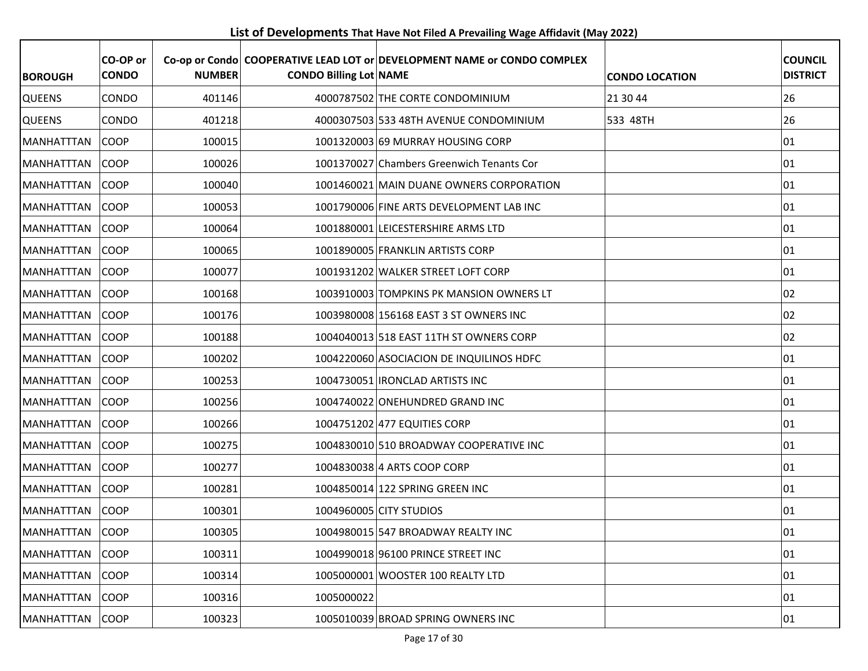**List of Developments That Have Not Filed A Prevailing Wage Affidavit (May 2022)**

| <b>BOROUGH</b>    | CO-OP or<br><b>CONDO</b> | <b>NUMBER</b> | <b>CONDO Billing Lot NAME</b> | Co-op or Condo COOPERATIVE LEAD LOT or DEVELOPMENT NAME or CONDO COMPLEX | <b>CONDO LOCATION</b> | <b>COUNCIL</b><br><b>DISTRICT</b> |
|-------------------|--------------------------|---------------|-------------------------------|--------------------------------------------------------------------------|-----------------------|-----------------------------------|
| <b>QUEENS</b>     | CONDO                    | 401146        |                               | 4000787502 THE CORTE CONDOMINIUM                                         | 21 30 44              | 26                                |
| <b>QUEENS</b>     | CONDO                    | 401218        |                               | 4000307503 533 48TH AVENUE CONDOMINIUM                                   | 533 48TH              | 26                                |
| <b>MANHATTTAN</b> | COOP                     | 100015        |                               | 1001320003 69 MURRAY HOUSING CORP                                        |                       | 01                                |
| <b>MANHATTTAN</b> | <b>COOP</b>              | 100026        |                               | 1001370027 Chambers Greenwich Tenants Cor                                |                       | 01                                |
| <b>MANHATTTAN</b> | <b>COOP</b>              | 100040        |                               | 1001460021 MAIN DUANE OWNERS CORPORATION                                 |                       | 01                                |
| <b>MANHATTTAN</b> | <b>COOP</b>              | 100053        |                               | 1001790006 FINE ARTS DEVELOPMENT LAB INC                                 |                       | 01                                |
| <b>MANHATTTAN</b> | <b>COOP</b>              | 100064        |                               | 1001880001 LEICESTERSHIRE ARMS LTD                                       |                       | 01                                |
| <b>MANHATTTAN</b> | <b>COOP</b>              | 100065        |                               | 1001890005 FRANKLIN ARTISTS CORP                                         |                       | 01                                |
| <b>MANHATTTAN</b> | <b>COOP</b>              | 100077        |                               | 1001931202 WALKER STREET LOFT CORP                                       |                       | 01                                |
| MANHATTTAN        | COOP                     | 100168        |                               | 1003910003 TOMPKINS PK MANSION OWNERS LT                                 |                       | 02                                |
| <b>MANHATTTAN</b> | <b>COOP</b>              | 100176        |                               | 1003980008 156168 EAST 3 ST OWNERS INC                                   |                       | 02                                |
| <b>MANHATTTAN</b> | <b>COOP</b>              | 100188        |                               | 1004040013 518 EAST 11TH ST OWNERS CORP                                  |                       | 02                                |
| MANHATTTAN        | COOP                     | 100202        |                               | 1004220060 ASOCIACION DE INQUILINOS HDFC                                 |                       | 01                                |
| <b>MANHATTTAN</b> | <b>COOP</b>              | 100253        |                               | 1004730051 IRONCLAD ARTISTS INC                                          |                       | 01                                |
| <b>MANHATTTAN</b> | <b>COOP</b>              | 100256        |                               | 1004740022 ONEHUNDRED GRAND INC                                          |                       | 01                                |
| <b>MANHATTTAN</b> | <b>COOP</b>              | 100266        |                               | 1004751202 477 EQUITIES CORP                                             |                       | 01                                |
| MANHATTTAN        | <b>COOP</b>              | 100275        |                               | 1004830010 510 BROADWAY COOPERATIVE INC                                  |                       | 01                                |
| <b>MANHATTTAN</b> | <b>COOP</b>              | 100277        |                               | 1004830038 4 ARTS COOP CORP                                              |                       | 01                                |
| <b>MANHATTTAN</b> | <b>COOP</b>              | 100281        |                               | 1004850014 122 SPRING GREEN INC                                          |                       | 01                                |
| MANHATTTAN        | <b>COOP</b>              | 100301        |                               | 1004960005 CITY STUDIOS                                                  |                       | 101                               |
| MANHATTTAN        | COOP                     | 100305        |                               | 1004980015 547 BROADWAY REALTY INC                                       |                       | 01                                |
| MANHATTTAN        | <b>COOP</b>              | 100311        |                               | 1004990018 96100 PRINCE STREET INC                                       |                       | 01                                |
| <b>MANHATTTAN</b> | COOP                     | 100314        |                               | 1005000001 WOOSTER 100 REALTY LTD                                        |                       | 01                                |
| <b>MANHATTTAN</b> | <b>COOP</b>              | 100316        | 1005000022                    |                                                                          |                       | 01                                |
| <b>MANHATTTAN</b> | <b>COOP</b>              | 100323        |                               | 1005010039 BROAD SPRING OWNERS INC                                       |                       | 01                                |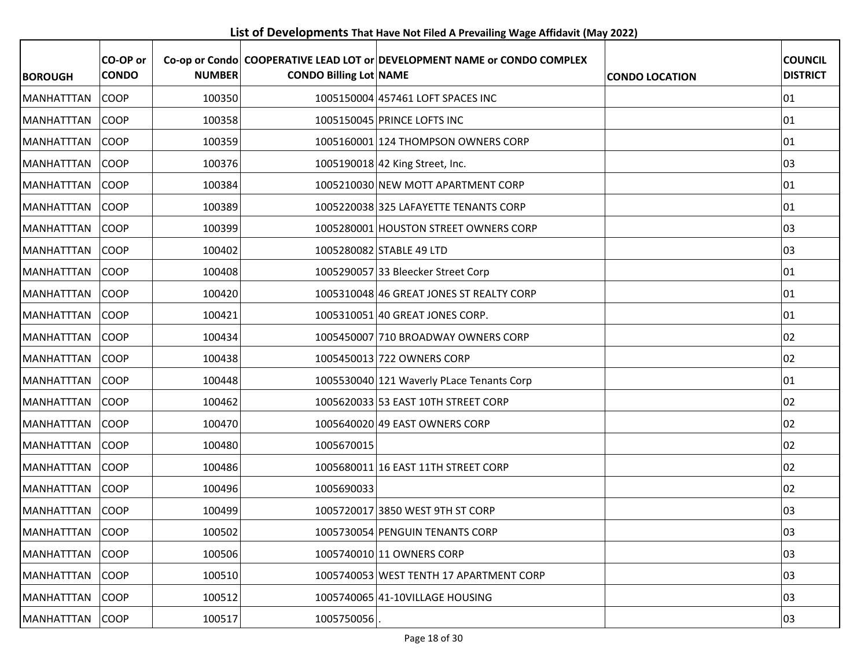**List of Developments That Have Not Filed A Prevailing Wage Affidavit (May 2022)**

| <b>BOROUGH</b>    | CO-OP or<br><b>CONDO</b> | <b>NUMBER</b> | <b>CONDO Billing Lot NAME</b> | Co-op or Condo COOPERATIVE LEAD LOT or DEVELOPMENT NAME or CONDO COMPLEX | <b>CONDO LOCATION</b> | <b>COUNCIL</b><br><b>DISTRICT</b> |
|-------------------|--------------------------|---------------|-------------------------------|--------------------------------------------------------------------------|-----------------------|-----------------------------------|
| MANHATTTAN        | COOP                     | 100350        |                               | 1005150004 457461 LOFT SPACES INC                                        |                       | 01                                |
| <b>MANHATTTAN</b> | COOP                     | 100358        |                               | 1005150045 PRINCE LOFTS INC                                              |                       | 01                                |
| <b>MANHATTTAN</b> | <b>COOP</b>              | 100359        |                               | 1005160001 124 THOMPSON OWNERS CORP                                      |                       | 01                                |
| MANHATTTAN        | <b>COOP</b>              | 100376        |                               | 1005190018 42 King Street, Inc.                                          |                       | 03                                |
| <b>MANHATTTAN</b> | <b>COOP</b>              | 100384        |                               | 1005210030 NEW MOTT APARTMENT CORP                                       |                       | 01                                |
| MANHATTTAN        | COOP                     | 100389        |                               | 1005220038 325 LAFAYETTE TENANTS CORP                                    |                       | 01                                |
| MANHATTTAN        | <b>COOP</b>              | 100399        |                               | 1005280001 HOUSTON STREET OWNERS CORP                                    |                       | 03                                |
| MANHATTTAN        | <b>COOP</b>              | 100402        |                               | 1005280082 STABLE 49 LTD                                                 |                       | 03                                |
| MANHATTTAN        | COOP                     | 100408        |                               | 1005290057 33 Bleecker Street Corp                                       |                       | 01                                |
| MANHATTTAN        | COOP                     | 100420        |                               | 1005310048 46 GREAT JONES ST REALTY CORP                                 |                       | 01                                |
| MANHATTTAN        | <b>COOP</b>              | 100421        |                               | 1005310051 40 GREAT JONES CORP.                                          |                       | 01                                |
| MANHATTTAN        | COOP                     | 100434        |                               | 1005450007 710 BROADWAY OWNERS CORP                                      |                       | 02                                |
| MANHATTTAN        | <b>COOP</b>              | 100438        |                               | 1005450013 722 OWNERS CORP                                               |                       | 02                                |
| <b>MANHATTTAN</b> | COOP                     | 100448        |                               | 1005530040 121 Waverly PLace Tenants Corp                                |                       | 01                                |
| MANHATTTAN        | COOP                     | 100462        |                               | 1005620033 53 EAST 10TH STREET CORP                                      |                       | 02                                |
| <b>MANHATTTAN</b> | <b>COOP</b>              | 100470        |                               | 1005640020 49 EAST OWNERS CORP                                           |                       | 02                                |
| MANHATTTAN        | <b>COOP</b>              | 100480        | 1005670015                    |                                                                          |                       | 02                                |
| <b>MANHATTTAN</b> | COOP                     | 100486        |                               | 1005680011 16 EAST 11TH STREET CORP                                      |                       | 02                                |
| MANHATTTAN        | <b>COOP</b>              | 100496        | 1005690033                    |                                                                          |                       | 02                                |
| MANHATTTAN        | <b>COOP</b>              | 100499        |                               | 1005720017 3850 WEST 9TH ST CORP                                         |                       | 03                                |
| MANHATTTAN COOP   |                          | 100502        |                               | 1005730054 PENGUIN TENANTS CORP                                          |                       | 03                                |
| MANHATTTAN        | <b>COOP</b>              | 100506        |                               | 1005740010 11 OWNERS CORP                                                |                       | 03                                |
| MANHATTTAN        | <b>COOP</b>              | 100510        |                               | 1005740053 WEST TENTH 17 APARTMENT CORP                                  |                       | 03                                |
| <b>MANHATTTAN</b> | <b>COOP</b>              | 100512        |                               | 1005740065 41-10VILLAGE HOUSING                                          |                       | 03                                |
| MANHATTTAN        | COOP                     | 100517        | 1005750056                    |                                                                          |                       | 03                                |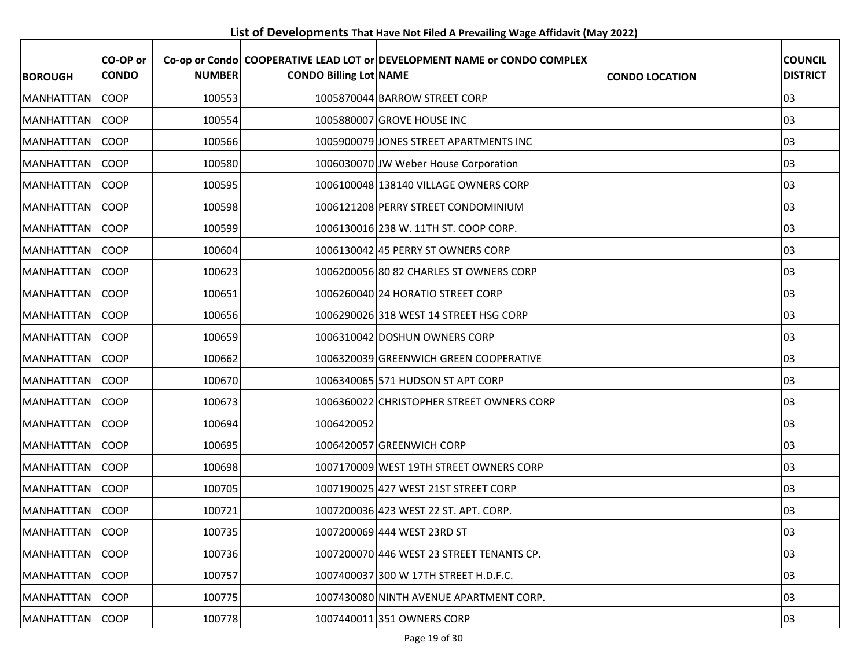**List of Developments That Have Not Filed A Prevailing Wage Affidavit (May 2022)**

| <b>BOROUGH</b>    | CO-OP or<br><b>CONDO</b> | <b>NUMBER</b> | <b>CONDO Billing Lot NAME</b> | Co-op or Condo COOPERATIVE LEAD LOT or DEVELOPMENT NAME or CONDO COMPLEX | <b>CONDO LOCATION</b> | <b>COUNCIL</b><br><b>DISTRICT</b> |
|-------------------|--------------------------|---------------|-------------------------------|--------------------------------------------------------------------------|-----------------------|-----------------------------------|
| <b>MANHATTTAN</b> | <b>COOP</b>              | 100553        |                               | 1005870044 BARROW STREET CORP                                            |                       | 03                                |
| <b>MANHATTTAN</b> | <b>COOP</b>              | 100554        |                               | 1005880007 GROVE HOUSE INC                                               |                       | 03                                |
| <b>MANHATTTAN</b> | COOP                     | 100566        |                               | 1005900079 JONES STREET APARTMENTS INC                                   |                       | 03                                |
| MANHATTTAN        | <b>COOP</b>              | 100580        |                               | 1006030070 JW Weber House Corporation                                    |                       | 03                                |
| MANHATTTAN        | <b>COOP</b>              | 100595        |                               | 1006100048 138140 VILLAGE OWNERS CORP                                    |                       | 03                                |
| <b>MANHATTTAN</b> | <b>COOP</b>              | 100598        |                               | 1006121208 PERRY STREET CONDOMINIUM                                      |                       | 03                                |
| <b>MANHATTTAN</b> | <b>COOP</b>              | 100599        |                               | 1006130016 238 W. 11TH ST. COOP CORP.                                    |                       | 03                                |
| <b>MANHATTTAN</b> | <b>COOP</b>              | 100604        |                               | 1006130042 45 PERRY ST OWNERS CORP                                       |                       | 03                                |
| <b>MANHATTTAN</b> | <b>COOP</b>              | 100623        |                               | 1006200056 80 82 CHARLES ST OWNERS CORP                                  |                       | 03                                |
| <b>MANHATTTAN</b> | COOP                     | 100651        |                               | 1006260040 24 HORATIO STREET CORP                                        |                       | 03                                |
| <b>MANHATTTAN</b> | <b>COOP</b>              | 100656        |                               | 1006290026 318 WEST 14 STREET HSG CORP                                   |                       | 03                                |
| <b>MANHATTTAN</b> | <b>COOP</b>              | 100659        |                               | 1006310042 DOSHUN OWNERS CORP                                            |                       | 03                                |
| <b>MANHATTTAN</b> | COOP                     | 100662        |                               | 1006320039 GREENWICH GREEN COOPERATIVE                                   |                       | 03                                |
| <b>MANHATTTAN</b> | <b>COOP</b>              | 100670        |                               | 1006340065 571 HUDSON ST APT CORP                                        |                       | 03                                |
| <b>MANHATTTAN</b> | <b>COOP</b>              | 100673        |                               | 1006360022 CHRISTOPHER STREET OWNERS CORP                                |                       | 03                                |
| <b>MANHATTTAN</b> | <b>COOP</b>              | 100694        | 1006420052                    |                                                                          |                       | 03                                |
| MANHATTTAN        | <b>COOP</b>              | 100695        |                               | 1006420057 GREENWICH CORP                                                |                       | 03                                |
| <b>MANHATTTAN</b> | <b>COOP</b>              | 100698        |                               | 1007170009 WEST 19TH STREET OWNERS CORP                                  |                       | 03                                |
| <b>MANHATTTAN</b> | <b>COOP</b>              | 100705        |                               | 1007190025 427 WEST 21ST STREET CORP                                     |                       | 03                                |
| <b>MANHATTTAN</b> | <b>COOP</b>              | 100721        |                               | 1007200036 423 WEST 22 ST. APT. CORP.                                    |                       | 03                                |
| MANHATTTAN        | <b>COOP</b>              | 100735        |                               | 1007200069 444 WEST 23RD ST                                              |                       | 03                                |
| MANHATTTAN        | <b>COOP</b>              | 100736        |                               | 1007200070 446 WEST 23 STREET TENANTS CP.                                |                       | 03                                |
| <b>MANHATTTAN</b> | COOP                     | 100757        |                               | 1007400037 300 W 17TH STREET H.D.F.C.                                    |                       | 03                                |
| MANHATTTAN        | <b>COOP</b>              | 100775        |                               | 1007430080 NINTH AVENUE APARTMENT CORP.                                  |                       | 03                                |
| <b>MANHATTTAN</b> | <b>COOP</b>              | 100778        |                               | 1007440011 351 OWNERS CORP                                               |                       | 03                                |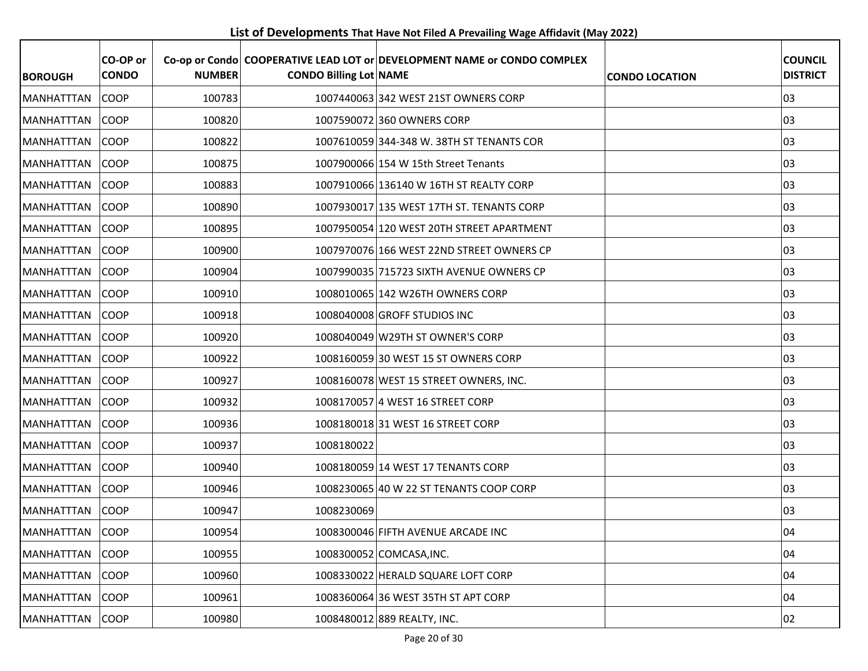**List of Developments That Have Not Filed A Prevailing Wage Affidavit (May 2022)**

| <b>BOROUGH</b>     | CO-OP or<br><b>CONDO</b> | <b>NUMBER</b> | <b>CONDO Billing Lot NAME</b> | Co-op or Condo COOPERATIVE LEAD LOT or DEVELOPMENT NAME or CONDO COMPLEX | <b>CONDO LOCATION</b> | <b>COUNCIL</b><br><b>DISTRICT</b> |
|--------------------|--------------------------|---------------|-------------------------------|--------------------------------------------------------------------------|-----------------------|-----------------------------------|
| <b>MANHATTTAN</b>  | <b>COOP</b>              | 100783        |                               | 1007440063 342 WEST 21ST OWNERS CORP                                     |                       | 03                                |
| <b>MANHATTTAN</b>  | <b>COOP</b>              | 100820        |                               | 1007590072 360 OWNERS CORP                                               |                       | 03                                |
| <b>MANHATTTAN</b>  | <b>COOP</b>              | 100822        |                               | 1007610059 344-348 W. 38TH ST TENANTS COR                                |                       | 03                                |
| <b>MANHATTTAN</b>  | <b>COOP</b>              | 100875        |                               | 1007900066 154 W 15th Street Tenants                                     |                       | 03                                |
| <b>IMANHATTTAN</b> | <b>COOP</b>              | 100883        |                               | 1007910066 136140 W 16TH ST REALTY CORP                                  |                       | 03                                |
| <b>MANHATTTAN</b>  | <b>COOP</b>              | 100890        |                               | 1007930017 135 WEST 17TH ST. TENANTS CORP                                |                       | 03                                |
| <b>MANHATTTAN</b>  | COOP                     | 100895        |                               | 1007950054 120 WEST 20TH STREET APARTMENT                                |                       | 03                                |
| <b>MANHATTTAN</b>  | <b>COOP</b>              | 100900        |                               | 1007970076 166 WEST 22ND STREET OWNERS CP                                |                       | 03                                |
| IMANHATTTAN        | <b>COOP</b>              | 100904        |                               | 1007990035 715723 SIXTH AVENUE OWNERS CP                                 |                       | 03                                |
| <b>IMANHATTTAN</b> | <b>COOP</b>              | 100910        |                               | 1008010065 142 W26TH OWNERS CORP                                         |                       | 03                                |
| MANHATTTAN         | <b>COOP</b>              | 100918        |                               | 1008040008 GROFF STUDIOS INC                                             |                       | 03                                |
| IMANHATTTAN        | <b>COOP</b>              | 100920        |                               | 1008040049 W29TH ST OWNER'S CORP                                         |                       | 03                                |
| MANHATTTAN         | <b>COOP</b>              | 100922        |                               | 1008160059 30 WEST 15 ST OWNERS CORP                                     |                       | 03                                |
| <b>MANHATTTAN</b>  | <b>COOP</b>              | 100927        |                               | 1008160078 WEST 15 STREET OWNERS, INC.                                   |                       | 03                                |
| IMANHATTTAN        | <b>COOP</b>              | 100932        |                               | 1008170057 4 WEST 16 STREET CORP                                         |                       | 03                                |
| <b>MANHATTTAN</b>  | <b>COOP</b>              | 100936        |                               | 1008180018 31 WEST 16 STREET CORP                                        |                       | 03                                |
| <b>MANHATTTAN</b>  | <b>COOP</b>              | 100937        | 1008180022                    |                                                                          |                       | 03                                |
| MANHATTTAN         | <b>COOP</b>              | 100940        |                               | 1008180059 14 WEST 17 TENANTS CORP                                       |                       | 03                                |
| <b>MANHATTTAN</b>  | <b>COOP</b>              | 100946        |                               | 1008230065 40 W 22 ST TENANTS COOP CORP                                  |                       | 03                                |
| <b>MANHATTTAN</b>  | <b>COOP</b>              | 100947        | 1008230069                    |                                                                          |                       | 03                                |
| MANHATTTAN COOP    |                          | 100954        |                               | 1008300046 FIFTH AVENUE ARCADE INC                                       |                       | 04                                |
| MANHATTTAN         | <b>COOP</b>              | 100955        |                               | 1008300052 COMCASA, INC.                                                 |                       | 04                                |
| MANHATTTAN         | <b>COOP</b>              | 100960        |                               | 1008330022 HERALD SQUARE LOFT CORP                                       |                       | 04                                |
| MANHATTTAN         | <b>COOP</b>              | 100961        |                               | 1008360064 36 WEST 35TH ST APT CORP                                      |                       | 04                                |
| <b>MANHATTTAN</b>  | COOP                     | 100980        |                               | 1008480012 889 REALTY, INC.                                              |                       | 02                                |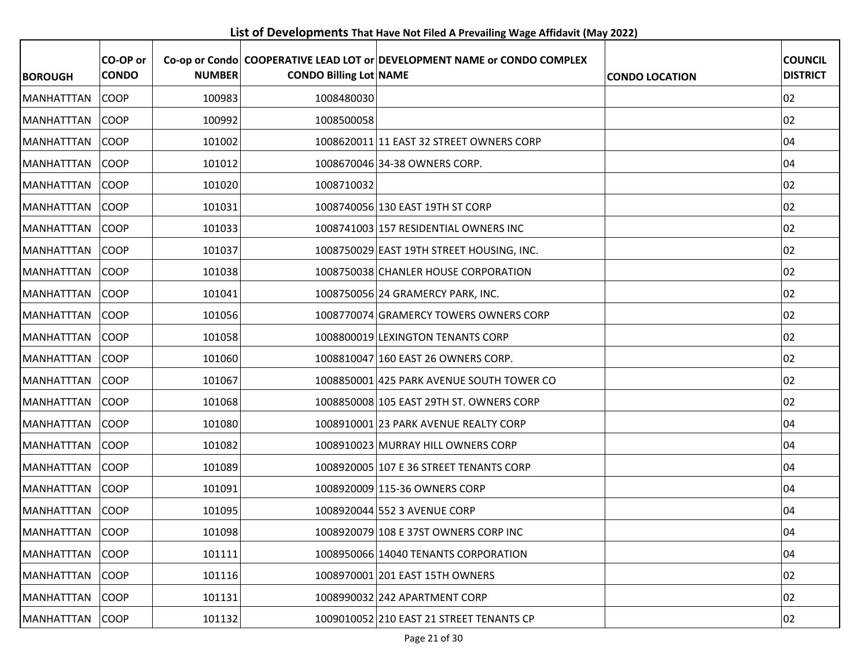**List of Developments That Have Not Filed A Prevailing Wage Affidavit (May 2022)**

| <b>BOROUGH</b>    | CO-OP or<br><b>CONDO</b> | <b>NUMBER</b> | <b>CONDO Billing Lot NAME</b> | Co-op or Condo COOPERATIVE LEAD LOT or DEVELOPMENT NAME or CONDO COMPLEX | <b>CONDO LOCATION</b> | <b>COUNCIL</b><br><b>DISTRICT</b> |
|-------------------|--------------------------|---------------|-------------------------------|--------------------------------------------------------------------------|-----------------------|-----------------------------------|
| <b>MANHATTTAN</b> | <b>COOP</b>              | 100983        | 1008480030                    |                                                                          |                       | 02                                |
| <b>MANHATTTAN</b> | <b>COOP</b>              | 100992        | 1008500058                    |                                                                          |                       | 02                                |
| <b>MANHATTTAN</b> | <b>COOP</b>              | 101002        |                               | 1008620011 11 EAST 32 STREET OWNERS CORP                                 |                       | 04                                |
| <b>MANHATTTAN</b> | <b>COOP</b>              | 101012        |                               | 1008670046 34-38 OWNERS CORP.                                            |                       | 04                                |
| <b>MANHATTTAN</b> | <b>COOP</b>              | 101020        | 1008710032                    |                                                                          |                       | 02                                |
| MANHATTTAN        | <b>COOP</b>              | 101031        |                               | 1008740056 130 EAST 19TH ST CORP                                         |                       | 02                                |
| MANHATTTAN        | <b>COOP</b>              | 101033        |                               | 1008741003 157 RESIDENTIAL OWNERS INC                                    |                       | 02                                |
| <b>MANHATTTAN</b> | <b>COOP</b>              | 101037        |                               | 1008750029 EAST 19TH STREET HOUSING, INC.                                |                       | 02                                |
| MANHATTTAN        | <b>COOP</b>              | 101038        |                               | 1008750038 CHANLER HOUSE CORPORATION                                     |                       | 02                                |
| MANHATTTAN        | <b>COOP</b>              | 101041        |                               | 1008750056 24 GRAMERCY PARK, INC.                                        |                       | 02                                |
| <b>MANHATTTAN</b> | <b>COOP</b>              | 101056        |                               | 1008770074 GRAMERCY TOWERS OWNERS CORP                                   |                       | 02                                |
| MANHATTTAN        | <b>COOP</b>              | 101058        |                               | 1008800019 LEXINGTON TENANTS CORP                                        |                       | 02                                |
| <b>MANHATTTAN</b> | COOP                     | 101060        |                               | 1008810047 160 EAST 26 OWNERS CORP.                                      |                       | 02                                |
| <b>MANHATTTAN</b> | <b>COOP</b>              | 101067        |                               | 1008850001 425 PARK AVENUE SOUTH TOWER CO                                |                       | 02                                |
| MANHATTTAN        | COOP                     | 101068        |                               | 1008850008 105 EAST 29TH ST. OWNERS CORP                                 |                       | 02                                |
| MANHATTTAN        | <b>COOP</b>              | 101080        |                               | 1008910001 23 PARK AVENUE REALTY CORP                                    |                       | 04                                |
| <b>MANHATTTAN</b> | <b>COOP</b>              | 101082        |                               | 1008910023 MURRAY HILL OWNERS CORP                                       |                       | 04                                |
| MANHATTTAN        | <b>COOP</b>              | 101089        |                               | 1008920005 107 E 36 STREET TENANTS CORP                                  |                       | 04                                |
| <b>MANHATTTAN</b> | <b>COOP</b>              | 101091        |                               | 1008920009 115-36 OWNERS CORP                                            |                       | 04                                |
| MANHATTTAN        | <b>COOP</b>              | 101095        |                               | 1008920044 552 3 AVENUE CORP                                             |                       | 04                                |
| MANHATTTAN COOP   |                          | 101098        |                               | 1008920079 108 E 37ST OWNERS CORP INC                                    |                       | 04                                |
| MANHATTTAN        | <b>COOP</b>              | 101111        |                               | 1008950066 14040 TENANTS CORPORATION                                     |                       | 04                                |
| <b>MANHATTTAN</b> | COOP                     | 101116        |                               | 1008970001 201 EAST 15TH OWNERS                                          |                       | 02                                |
| <b>MANHATTTAN</b> | <b>COOP</b>              | 101131        |                               | 1008990032 242 APARTMENT CORP                                            |                       | 02                                |
| MANHATTTAN        | COOP                     | 101132        |                               | 1009010052 210 EAST 21 STREET TENANTS CP                                 |                       | 02                                |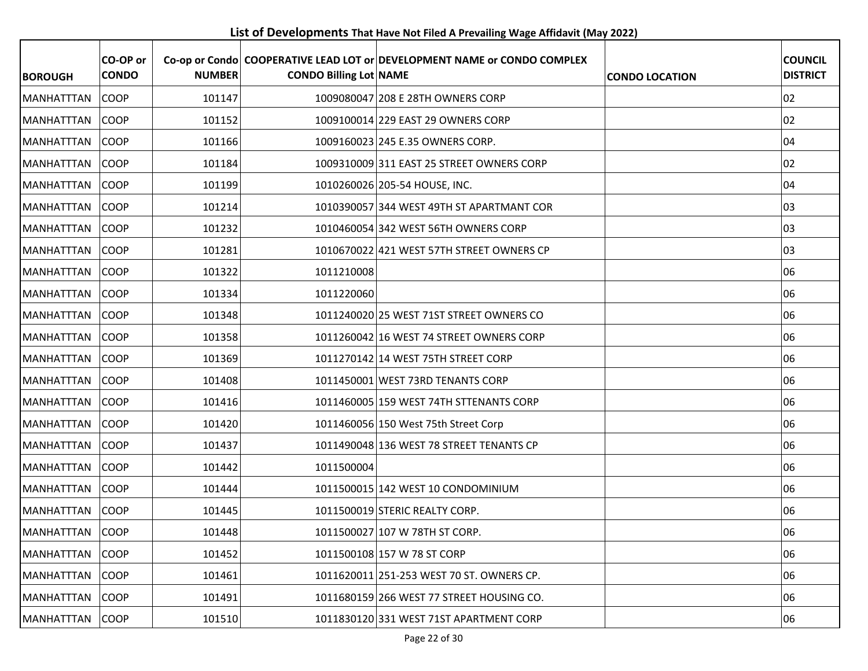**List of Developments That Have Not Filed A Prevailing Wage Affidavit (May 2022)**

| <b>BOROUGH</b>     | CO-OP or<br><b>CONDO</b> | <b>NUMBER</b> | <b>CONDO Billing Lot NAME</b> | Co-op or Condo COOPERATIVE LEAD LOT or DEVELOPMENT NAME or CONDO COMPLEX | <b>CONDO LOCATION</b> | <b>COUNCIL</b><br><b>DISTRICT</b> |
|--------------------|--------------------------|---------------|-------------------------------|--------------------------------------------------------------------------|-----------------------|-----------------------------------|
| <b>MANHATTTAN</b>  | <b>COOP</b>              | 101147        |                               | 1009080047 208 E 28TH OWNERS CORP                                        |                       | 02                                |
| <b>MANHATTTAN</b>  | <b>COOP</b>              | 101152        |                               | 1009100014 229 EAST 29 OWNERS CORP                                       |                       | 02                                |
| <b>MANHATTTAN</b>  | <b>COOP</b>              | 101166        |                               | 1009160023 245 E.35 OWNERS CORP.                                         |                       | 04                                |
| <b>MANHATTTAN</b>  | <b>COOP</b>              | 101184        |                               | 1009310009 311 EAST 25 STREET OWNERS CORP                                |                       | 02                                |
| <b>IMANHATTTAN</b> | <b>COOP</b>              | 101199        |                               | 1010260026 205-54 HOUSE, INC.                                            |                       | 04                                |
| <b>MANHATTTAN</b>  | <b>COOP</b>              | 101214        |                               | 1010390057 344 WEST 49TH ST APARTMANT COR                                |                       | 03                                |
| <b>MANHATTTAN</b>  | COOP                     | 101232        |                               | 1010460054 342 WEST 56TH OWNERS CORP                                     |                       | 03                                |
| <b>MANHATTTAN</b>  | <b>COOP</b>              | 101281        |                               | 1010670022 421 WEST 57TH STREET OWNERS CP                                |                       | 03                                |
| <b>MANHATTTAN</b>  | <b>COOP</b>              | 101322        | 1011210008                    |                                                                          |                       | 06                                |
| <b>IMANHATTTAN</b> | <b>COOP</b>              | 101334        | 1011220060                    |                                                                          |                       | 06                                |
| <b>MANHATTTAN</b>  | <b>COOP</b>              | 101348        |                               | 1011240020 25 WEST 71ST STREET OWNERS CO                                 |                       | 06                                |
| <b>MANHATTTAN</b>  | <b>COOP</b>              | 101358        |                               | 1011260042 16 WEST 74 STREET OWNERS CORP                                 |                       | 06                                |
| <b>MANHATTTAN</b>  | <b>COOP</b>              | 101369        |                               | 1011270142 14 WEST 75TH STREET CORP                                      |                       | 06                                |
| <b>MANHATTTAN</b>  | <b>COOP</b>              | 101408        |                               | 1011450001 WEST 73RD TENANTS CORP                                        |                       | 06                                |
| IMANHATTTAN        | <b>COOP</b>              | 101416        |                               | 1011460005 159 WEST 74TH STTENANTS CORP                                  |                       | 06                                |
| <b>MANHATTTAN</b>  | <b>COOP</b>              | 101420        |                               | 1011460056 150 West 75th Street Corp                                     |                       | 06                                |
| <b>MANHATTTAN</b>  | <b>COOP</b>              | 101437        |                               | 1011490048 136 WEST 78 STREET TENANTS CP                                 |                       | 06                                |
| <b>MANHATTTAN</b>  | <b>COOP</b>              | 101442        | 1011500004                    |                                                                          |                       | 06                                |
| <b>MANHATTTAN</b>  | <b>COOP</b>              | 101444        |                               | 1011500015 142 WEST 10 CONDOMINIUM                                       |                       | 06                                |
| <b>MANHATTTAN</b>  | <b>COOP</b>              | 101445        |                               | 1011500019 STERIC REALTY CORP.                                           |                       | 06                                |
| MANHATTTAN COOP    |                          | 101448        |                               | 1011500027 107 W 78TH ST CORP.                                           |                       | 06                                |
| <b>MANHATTTAN</b>  | <b>COOP</b>              | 101452        |                               | 1011500108 157 W 78 ST CORP                                              |                       | 06                                |
| <b>MANHATTTAN</b>  | <b>COOP</b>              | 101461        |                               | 1011620011 251-253 WEST 70 ST. OWNERS CP.                                |                       | 06                                |
| MANHATTTAN         | <b>COOP</b>              | 101491        |                               | 1011680159 266 WEST 77 STREET HOUSING CO.                                |                       | 06                                |
| MANHATTTAN         | COOP                     | 101510        |                               | 1011830120 331 WEST 71ST APARTMENT CORP                                  |                       | 06                                |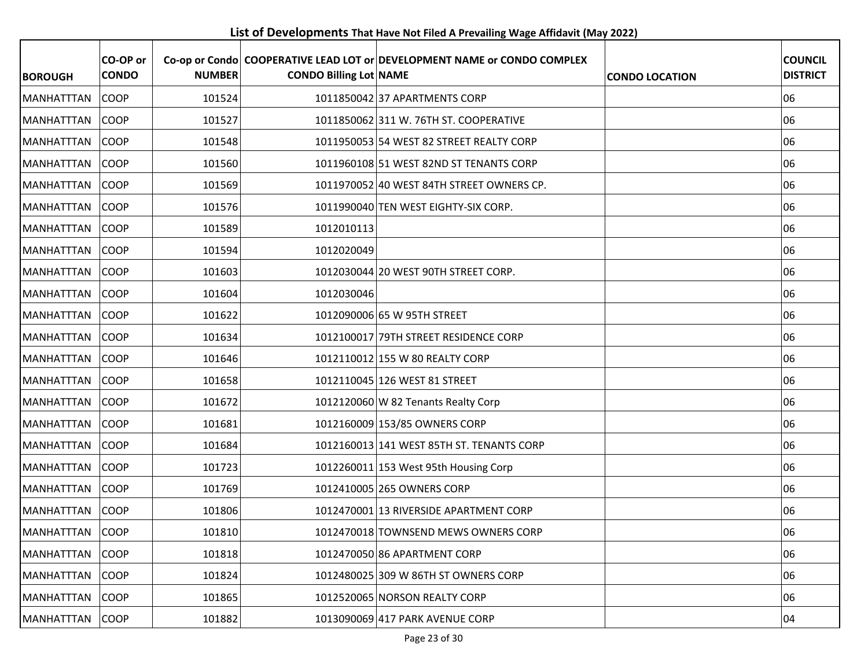**List of Developments That Have Not Filed A Prevailing Wage Affidavit (May 2022)**

| <b>BOROUGH</b>    | CO-OP or<br><b>CONDO</b> | <b>NUMBER</b> | <b>CONDO Billing Lot NAME</b> | Co-op or Condo  COOPERATIVE LEAD LOT or DEVELOPMENT NAME or CONDO COMPLEX | <b>CONDO LOCATION</b> | <b>COUNCIL</b><br><b>DISTRICT</b> |
|-------------------|--------------------------|---------------|-------------------------------|---------------------------------------------------------------------------|-----------------------|-----------------------------------|
| <b>MANHATTTAN</b> | <b>COOP</b>              | 101524        |                               | 1011850042 37 APARTMENTS CORP                                             |                       | 06                                |
| <b>MANHATTTAN</b> | <b>COOP</b>              | 101527        |                               | 1011850062 311 W. 76TH ST. COOPERATIVE                                    |                       | 06                                |
| <b>MANHATTTAN</b> | <b>COOP</b>              | 101548        |                               | 1011950053 54 WEST 82 STREET REALTY CORP                                  |                       | 06                                |
| <b>MANHATTTAN</b> | <b>COOP</b>              | 101560        |                               | 1011960108 51 WEST 82ND ST TENANTS CORP                                   |                       | 06                                |
| MANHATTTAN        | <b>COOP</b>              | 101569        |                               | 1011970052 40 WEST 84TH STREET OWNERS CP.                                 |                       | 06                                |
| <b>MANHATTTAN</b> | <b>COOP</b>              | 101576        |                               | 1011990040 TEN WEST EIGHTY-SIX CORP.                                      |                       | 06                                |
| MANHATTTAN        | <b>COOP</b>              | 101589        | 1012010113                    |                                                                           |                       | 06                                |
| MANHATTTAN        | <b>COOP</b>              | 101594        | 1012020049                    |                                                                           |                       | 06                                |
| <b>MANHATTTAN</b> | <b>COOP</b>              | 101603        |                               | 1012030044 20 WEST 90TH STREET CORP.                                      |                       | 06                                |
| <b>MANHATTTAN</b> | <b>COOP</b>              | 101604        | 1012030046                    |                                                                           |                       | 06                                |
| <b>MANHATTTAN</b> | <b>COOP</b>              | 101622        |                               | 1012090006 65 W 95TH STREET                                               |                       | 06                                |
| IMANHATTTAN       | <b>COOP</b>              | 101634        |                               | 1012100017 79TH STREET RESIDENCE CORP                                     |                       | 06                                |
| MANHATTTAN        | COOP                     | 101646        |                               | 1012110012 155 W 80 REALTY CORP                                           |                       | 06                                |
| MANHATTTAN        | <b>COOP</b>              | 101658        |                               | 1012110045 126 WEST 81 STREET                                             |                       | 06                                |
| <b>MANHATTTAN</b> | <b>COOP</b>              | 101672        |                               | 1012120060 W 82 Tenants Realty Corp                                       |                       | 06                                |
| MANHATTTAN        | COOP                     | 101681        |                               | 1012160009 153/85 OWNERS CORP                                             |                       | 06                                |
| <b>MANHATTTAN</b> | <b>COOP</b>              | 101684        |                               | 1012160013 141 WEST 85TH ST. TENANTS CORP                                 |                       | 06                                |
| <b>MANHATTTAN</b> | <b>COOP</b>              | 101723        |                               | 1012260011 153 West 95th Housing Corp                                     |                       | 06                                |
| MANHATTTAN        | <b>COOP</b>              | 101769        |                               | 1012410005 265 OWNERS CORP                                                |                       | 06                                |
| <b>MANHATTTAN</b> | <b>COOP</b>              | 101806        |                               | 1012470001 13 RIVERSIDE APARTMENT CORP                                    |                       | 06                                |
| MANHATTTAN        | <b>COOP</b>              | 101810        |                               | 1012470018 TOWNSEND MEWS OWNERS CORP                                      |                       | 06                                |
| MANHATTTAN        | <b>COOP</b>              | 101818        |                               | 1012470050 86 APARTMENT CORP                                              |                       | 06                                |
| MANHATTTAN        | COOP                     | 101824        |                               | 1012480025 309 W 86TH ST OWNERS CORP                                      |                       | 06                                |
| <b>MANHATTTAN</b> | <b>COOP</b>              | 101865        |                               | 1012520065 NORSON REALTY CORP                                             |                       | 06                                |
| <b>MANHATTTAN</b> | <b>COOP</b>              | 101882        |                               | 1013090069 417 PARK AVENUE CORP                                           |                       | 04                                |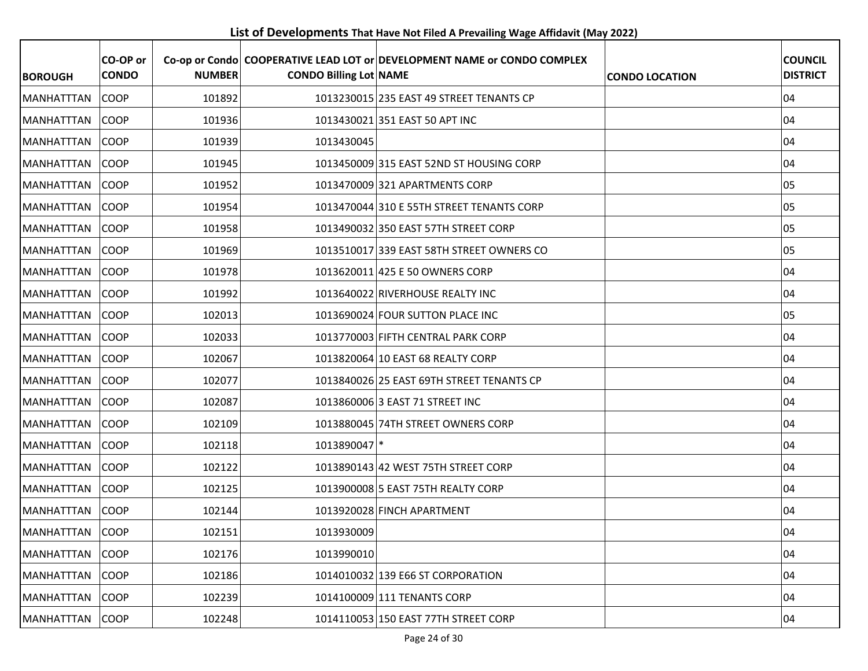**List of Developments That Have Not Filed A Prevailing Wage Affidavit (May 2022)**

| <b>BOROUGH</b>     | CO-OP or<br><b>CONDO</b> | <b>NUMBER</b> | <b>CONDO Billing Lot NAME</b> | Co-op or Condo COOPERATIVE LEAD LOT or DEVELOPMENT NAME or CONDO COMPLEX | <b>CONDO LOCATION</b> | <b>COUNCIL</b><br><b>DISTRICT</b> |
|--------------------|--------------------------|---------------|-------------------------------|--------------------------------------------------------------------------|-----------------------|-----------------------------------|
| <b>MANHATTTAN</b>  | <b>COOP</b>              | 101892        |                               | 1013230015 235 EAST 49 STREET TENANTS CP                                 |                       | 04                                |
| <b>IMANHATTTAN</b> | <b>COOP</b>              | 101936        |                               | 1013430021 351 EAST 50 APT INC                                           |                       | 04                                |
| <b>MANHATTTAN</b>  | <b>COOP</b>              | 101939        | 1013430045                    |                                                                          |                       | 04                                |
| <b>MANHATTTAN</b>  | <b>COOP</b>              | 101945        |                               | 1013450009 315 EAST 52ND ST HOUSING CORP                                 |                       | 04                                |
| <b>MANHATTTAN</b>  | <b>COOP</b>              | 101952        |                               | 1013470009 321 APARTMENTS CORP                                           |                       | 05                                |
| <b>MANHATTTAN</b>  | <b>COOP</b>              | 101954        |                               | 1013470044 310 E 55TH STREET TENANTS CORP                                |                       | 05                                |
| <b>MANHATTTAN</b>  | <b>COOP</b>              | 101958        |                               | 1013490032 350 EAST 57TH STREET CORP                                     |                       | 05                                |
| <b>MANHATTTAN</b>  | <b>COOP</b>              | 101969        |                               | 1013510017 339 EAST 58TH STREET OWNERS CO                                |                       | 05                                |
| <b>MANHATTTAN</b>  | <b>COOP</b>              | 101978        |                               | 1013620011 425 E 50 OWNERS CORP                                          |                       | 04                                |
| <b>MANHATTTAN</b>  | <b>COOP</b>              | 101992        |                               | 1013640022 RIVERHOUSE REALTY INC                                         |                       | 04                                |
| <b>MANHATTTAN</b>  | <b>COOP</b>              | 102013        |                               | 1013690024 FOUR SUTTON PLACE INC                                         |                       | 05                                |
| MANHATTTAN         | <b>COOP</b>              | 102033        |                               | 1013770003 FIFTH CENTRAL PARK CORP                                       |                       | 04                                |
| MANHATTTAN         | <b>COOP</b>              | 102067        |                               | 1013820064 10 EAST 68 REALTY CORP                                        |                       | 04                                |
| <b>MANHATTTAN</b>  | <b>COOP</b>              | 102077        |                               | 1013840026 25 EAST 69TH STREET TENANTS CP                                |                       | 04                                |
| <b>MANHATTTAN</b>  | <b>COOP</b>              | 102087        |                               | 1013860006 3 EAST 71 STREET INC                                          |                       | 04                                |
| MANHATTTAN         | COOP                     | 102109        |                               | 1013880045 74TH STREET OWNERS CORP                                       |                       | 04                                |
| <b>MANHATTTAN</b>  | <b>COOP</b>              | 102118        | 1013890047 *                  |                                                                          |                       | 04                                |
| <b>MANHATTTAN</b>  | <b>COOP</b>              | 102122        |                               | 1013890143 42 WEST 75TH STREET CORP                                      |                       | 04                                |
| <b>MANHATTTAN</b>  | <b>COOP</b>              | 102125        |                               | 1013900008 5 EAST 75TH REALTY CORP                                       |                       | 04                                |
| <b>MANHATTTAN</b>  | <b>COOP</b>              | 102144        |                               | 1013920028 FINCH APARTMENT                                               |                       | 04                                |
| MANHATTTAN         | COOP                     | 102151        | 1013930009                    |                                                                          |                       | 04                                |
| <b>MANHATTTAN</b>  | <b>COOP</b>              | 102176        | 1013990010                    |                                                                          |                       | 04                                |
| MANHATTTAN         | COOP                     | 102186        |                               | 1014010032 139 E66 ST CORPORATION                                        |                       | 04                                |
| <b>MANHATTTAN</b>  | <b>COOP</b>              | 102239        |                               | 1014100009 111 TENANTS CORP                                              |                       | 04                                |
| <b>MANHATTTAN</b>  | <b>COOP</b>              | 102248        |                               | 1014110053 150 EAST 77TH STREET CORP                                     |                       | 04                                |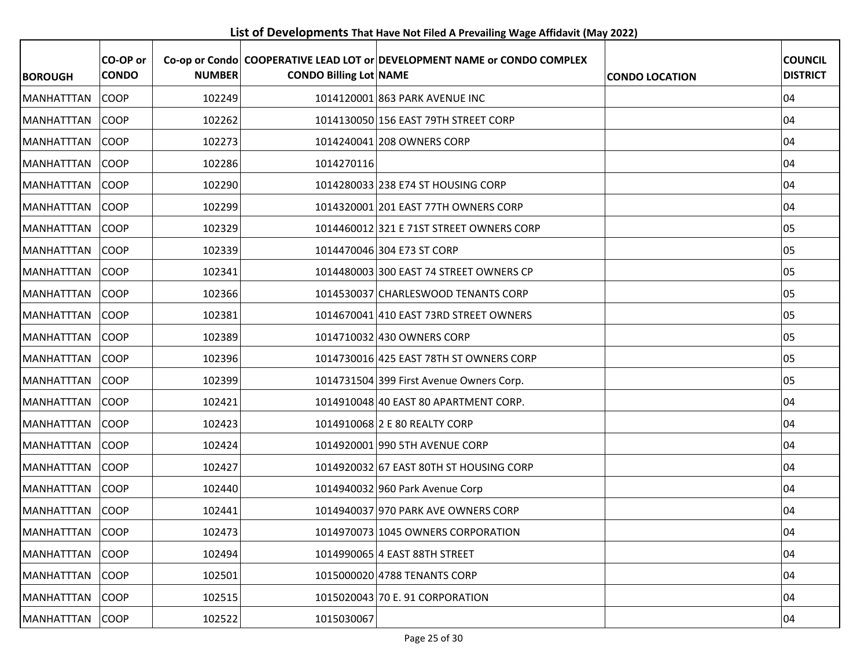**List of Developments That Have Not Filed A Prevailing Wage Affidavit (May 2022)**

| <b>BOROUGH</b>    | CO-OP or<br><b>CONDO</b> | <b>NUMBER</b> | <b>CONDO Billing Lot NAME</b> | Co-op or Condo COOPERATIVE LEAD LOT or DEVELOPMENT NAME or CONDO COMPLEX | <b>CONDO LOCATION</b> | <b>COUNCIL</b><br><b>DISTRICT</b> |
|-------------------|--------------------------|---------------|-------------------------------|--------------------------------------------------------------------------|-----------------------|-----------------------------------|
| <b>MANHATTTAN</b> | <b>COOP</b>              | 102249        |                               | 1014120001 863 PARK AVENUE INC                                           |                       | 04                                |
| MANHATTTAN        | <b>COOP</b>              | 102262        |                               | 1014130050 156 EAST 79TH STREET CORP                                     |                       | 04                                |
| <b>MANHATTTAN</b> | <b>COOP</b>              | 102273        |                               | 1014240041 208 OWNERS CORP                                               |                       | 04                                |
| MANHATTTAN        | <b>COOP</b>              | 102286        | 1014270116                    |                                                                          |                       | 04                                |
| <b>MANHATTTAN</b> | <b>COOP</b>              | 102290        |                               | 1014280033 238 E74 ST HOUSING CORP                                       |                       | 04                                |
| MANHATTTAN        | <b>COOP</b>              | 102299        |                               | 1014320001 201 EAST 77TH OWNERS CORP                                     |                       | 04                                |
| <b>MANHATTTAN</b> | <b>COOP</b>              | 102329        |                               | 1014460012 321 E 71ST STREET OWNERS CORP                                 |                       | 05                                |
| <b>MANHATTTAN</b> | <b>COOP</b>              | 102339        |                               | 1014470046 304 E73 ST CORP                                               |                       | 05                                |
| <b>MANHATTTAN</b> | <b>COOP</b>              | 102341        |                               | 1014480003 300 EAST 74 STREET OWNERS CP                                  |                       | 05                                |
| MANHATTTAN        | <b>COOP</b>              | 102366        |                               | 1014530037 CHARLESWOOD TENANTS CORP                                      |                       | 05                                |
| <b>MANHATTTAN</b> | <b>COOP</b>              | 102381        |                               | 1014670041 410 EAST 73RD STREET OWNERS                                   |                       | 05                                |
| MANHATTTAN        | <b>COOP</b>              | 102389        |                               | 1014710032 430 OWNERS CORP                                               |                       | 05                                |
| MANHATTTAN        | COOP                     | 102396        |                               | 1014730016 425 EAST 78TH ST OWNERS CORP                                  |                       | 05                                |
| <b>MANHATTTAN</b> | <b>COOP</b>              | 102399        |                               | 1014731504 399 First Avenue Owners Corp.                                 |                       | 05                                |
| <b>MANHATTTAN</b> | <b>COOP</b>              | 102421        |                               | 1014910048 40 EAST 80 APARTMENT CORP.                                    |                       | 04                                |
| <b>MANHATTTAN</b> | <b>COOP</b>              | 102423        |                               | 1014910068 2 E 80 REALTY CORP                                            |                       | 04                                |
| MANHATTTAN        | <b>COOP</b>              | 102424        |                               | 1014920001 990 5TH AVENUE CORP                                           |                       | 04                                |
| MANHATTTAN        | <b>COOP</b>              | 102427        |                               | 1014920032 67 EAST 80TH ST HOUSING CORP                                  |                       | 04                                |
| <b>MANHATTTAN</b> | <b>COOP</b>              | 102440        |                               | 1014940032 960 Park Avenue Corp                                          |                       | 04                                |
| MANHATTTAN        | <b>COOP</b>              | 102441        |                               | 1014940037 970 PARK AVE OWNERS CORP                                      |                       | 04                                |
| MANHATTTAN        | <b>COOP</b>              | 102473        |                               | 1014970073 1045 OWNERS CORPORATION                                       |                       | 04                                |
| <b>MANHATTTAN</b> | <b>COOP</b>              | 102494        |                               | 1014990065 4 EAST 88TH STREET                                            |                       | 04                                |
| <b>MANHATTTAN</b> | COOP                     | 102501        |                               | 1015000020 4788 TENANTS CORP                                             |                       | 04                                |
| MANHATTTAN        | <b>COOP</b>              | 102515        |                               | 1015020043 70 E. 91 CORPORATION                                          |                       | 04                                |
| <b>MANHATTTAN</b> | <b>COOP</b>              | 102522        | 1015030067                    |                                                                          |                       | 04                                |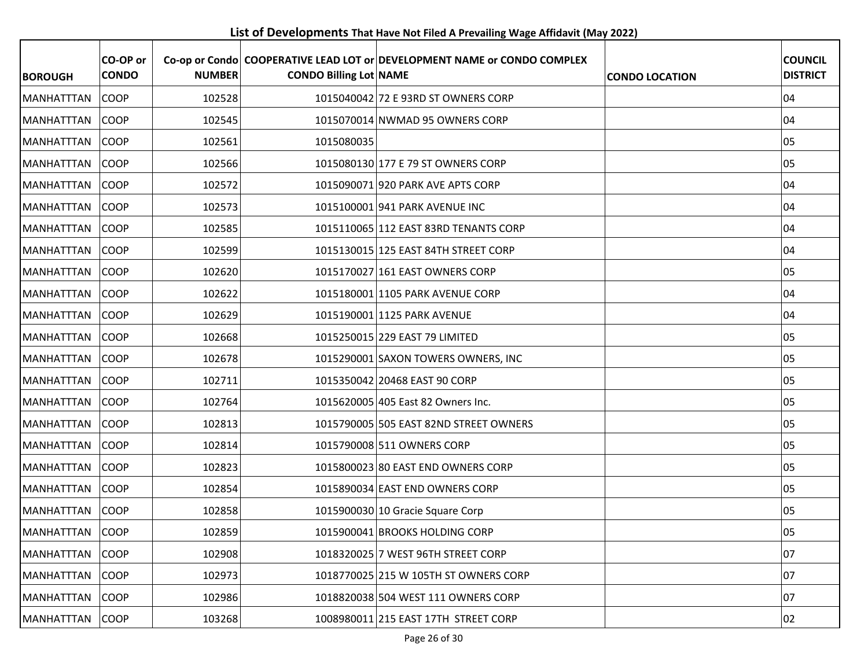**List of Developments That Have Not Filed A Prevailing Wage Affidavit (May 2022)**

| <b>BOROUGH</b>    | CO-OP or<br><b>CONDO</b> | <b>NUMBER</b> | <b>CONDO Billing Lot NAME</b> | Co-op or Condo COOPERATIVE LEAD LOT or DEVELOPMENT NAME or CONDO COMPLEX | <b>CONDO LOCATION</b> | <b>COUNCIL</b><br><b>DISTRICT</b> |
|-------------------|--------------------------|---------------|-------------------------------|--------------------------------------------------------------------------|-----------------------|-----------------------------------|
| <b>MANHATTTAN</b> | <b>COOP</b>              | 102528        |                               | 1015040042 72 E 93RD ST OWNERS CORP                                      |                       | 04                                |
| MANHATTTAN        | <b>COOP</b>              | 102545        |                               | 1015070014 NWMAD 95 OWNERS CORP                                          |                       | 04                                |
| MANHATTTAN        | <b>COOP</b>              | 102561        | 1015080035                    |                                                                          |                       | 05                                |
| <b>MANHATTTAN</b> | <b>COOP</b>              | 102566        |                               | 1015080130 177 E 79 ST OWNERS CORP                                       |                       | 05                                |
| <b>MANHATTTAN</b> | <b>COOP</b>              | 102572        |                               | 1015090071 920 PARK AVE APTS CORP                                        |                       | 04                                |
| <b>MANHATTTAN</b> | <b>COOP</b>              | 102573        |                               | 1015100001 941 PARK AVENUE INC                                           |                       | 04                                |
| <b>MANHATTTAN</b> | <b>COOP</b>              | 102585        |                               | 1015110065 112 EAST 83RD TENANTS CORP                                    |                       | 04                                |
| <b>MANHATTTAN</b> | <b>COOP</b>              | 102599        |                               | 1015130015 125 EAST 84TH STREET CORP                                     |                       | 04                                |
| <b>MANHATTTAN</b> | <b>COOP</b>              | 102620        |                               | 1015170027 161 EAST OWNERS CORP                                          |                       | 05                                |
| MANHATTTAN        | <b>COOP</b>              | 102622        |                               | 1015180001 1105 PARK AVENUE CORP                                         |                       | 04                                |
| MANHATTTAN        | <b>COOP</b>              | 102629        |                               | 1015190001 1125 PARK AVENUE                                              |                       | 04                                |
| <b>MANHATTTAN</b> | <b>COOP</b>              | 102668        |                               | 1015250015 229 EAST 79 LIMITED                                           |                       | 05                                |
| <b>MANHATTTAN</b> | <b>COOP</b>              | 102678        |                               | 1015290001 SAXON TOWERS OWNERS, INC                                      |                       | 05                                |
| <b>MANHATTTAN</b> | <b>COOP</b>              | 102711        |                               | 1015350042 20468 EAST 90 CORP                                            |                       | 05                                |
| <b>MANHATTTAN</b> | <b>COOP</b>              | 102764        |                               | 1015620005 405 East 82 Owners Inc.                                       |                       | 05                                |
| <b>MANHATTTAN</b> | <b>COOP</b>              | 102813        |                               | 1015790005 505 EAST 82ND STREET OWNERS                                   |                       | 05                                |
| <b>MANHATTTAN</b> | <b>COOP</b>              | 102814        |                               | 1015790008 511 OWNERS CORP                                               |                       | 05                                |
| MANHATTTAN        | <b>COOP</b>              | 102823        |                               | 1015800023 80 EAST END OWNERS CORP                                       |                       | 05                                |
| <b>MANHATTTAN</b> | <b>COOP</b>              | 102854        |                               | 1015890034 EAST END OWNERS CORP                                          |                       | 05                                |
| MANHATTTAN        | <b>COOP</b>              | 102858        |                               | 1015900030 10 Gracie Square Corp                                         |                       | 05                                |
| MANHATTTAN        | <b>COOP</b>              | 102859        |                               | 1015900041 BROOKS HOLDING CORP                                           |                       | 05                                |
| MANHATTTAN        | <b>COOP</b>              | 102908        |                               | 1018320025 7 WEST 96TH STREET CORP                                       |                       | 07                                |
| MANHATTTAN        | COOP                     | 102973        |                               | 1018770025 215 W 105TH ST OWNERS CORP                                    |                       | 07                                |
| <b>MANHATTTAN</b> | <b>COOP</b>              | 102986        |                               | 1018820038 504 WEST 111 OWNERS CORP                                      |                       | 07                                |
| <b>MANHATTTAN</b> | <b>COOP</b>              | 103268        |                               | 1008980011 215 EAST 17TH STREET CORP                                     |                       | 02                                |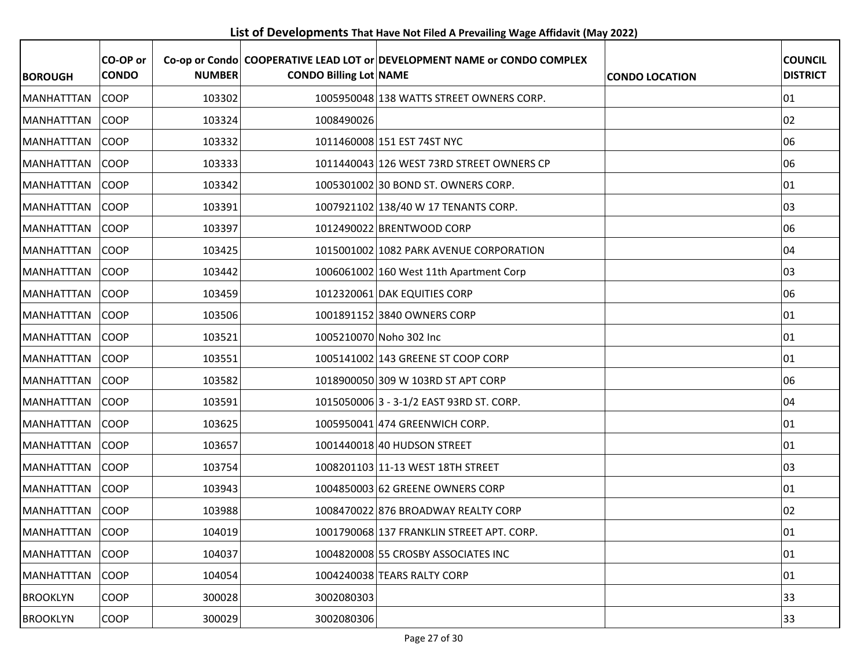**List of Developments That Have Not Filed A Prevailing Wage Affidavit (May 2022)**

| <b>BOROUGH</b>    | CO-OP or<br><b>CONDO</b> | <b>NUMBER</b> | <b>CONDO Billing Lot NAME</b> | Co-op or Condo COOPERATIVE LEAD LOT or DEVELOPMENT NAME or CONDO COMPLEX | <b>CONDO LOCATION</b> | <b>COUNCIL</b><br><b>DISTRICT</b> |
|-------------------|--------------------------|---------------|-------------------------------|--------------------------------------------------------------------------|-----------------------|-----------------------------------|
| <b>MANHATTTAN</b> | <b>COOP</b>              | 103302        |                               | 1005950048 138 WATTS STREET OWNERS CORP.                                 |                       | 01                                |
| MANHATTTAN        | <b>COOP</b>              | 103324        | 1008490026                    |                                                                          |                       | 02                                |
| <b>MANHATTTAN</b> | COOP                     | 103332        |                               | 1011460008 151 EST 74ST NYC                                              |                       | 06                                |
| <b>MANHATTTAN</b> | <b>COOP</b>              | 103333        |                               | 1011440043 126 WEST 73RD STREET OWNERS CP                                |                       | 06                                |
| MANHATTTAN        | <b>COOP</b>              | 103342        |                               | 1005301002 30 BOND ST. OWNERS CORP.                                      |                       | 01                                |
| <b>MANHATTTAN</b> | <b>COOP</b>              | 103391        |                               | 1007921102 138/40 W 17 TENANTS CORP.                                     |                       | 03                                |
| <b>MANHATTTAN</b> | <b>COOP</b>              | 103397        |                               | 1012490022 BRENTWOOD CORP                                                |                       | 06                                |
| <b>MANHATTTAN</b> | <b>COOP</b>              | 103425        |                               | 1015001002 1082 PARK AVENUE CORPORATION                                  |                       | 04                                |
| IMANHATTTAN       | <b>COOP</b>              | 103442        |                               | 1006061002 160 West 11th Apartment Corp                                  |                       | 03                                |
| MANHATTTAN        | COOP                     | 103459        |                               | 1012320061 DAK EQUITIES CORP                                             |                       | 06                                |
| <b>MANHATTTAN</b> | <b>COOP</b>              | 103506        |                               | 1001891152 3840 OWNERS CORP                                              |                       | 01                                |
| <b>MANHATTTAN</b> | <b>COOP</b>              | 103521        |                               | 1005210070 Noho 302 Inc                                                  |                       | 01                                |
| <b>MANHATTTAN</b> | COOP                     | 103551        |                               | 1005141002 143 GREENE ST COOP CORP                                       |                       | 01                                |
| <b>MANHATTTAN</b> | <b>COOP</b>              | 103582        |                               | 1018900050 309 W 103RD ST APT CORP                                       |                       | 06                                |
| <b>MANHATTTAN</b> | <b>COOP</b>              | 103591        |                               | 1015050006 3 - 3-1/2 EAST 93RD ST. CORP.                                 |                       | 04                                |
| <b>MANHATTTAN</b> | <b>COOP</b>              | 103625        |                               | 1005950041 474 GREENWICH CORP.                                           |                       | 01                                |
| MANHATTTAN        | <b>COOP</b>              | 103657        |                               | 1001440018 40 HUDSON STREET                                              |                       | 01                                |
| <b>MANHATTTAN</b> | <b>COOP</b>              | 103754        |                               | 1008201103 11-13 WEST 18TH STREET                                        |                       | 03                                |
| <b>MANHATTTAN</b> | <b>COOP</b>              | 103943        |                               | 1004850003 62 GREENE OWNERS CORP                                         |                       | 01                                |
| MANHATTTAN        | <b>COOP</b>              | 103988        |                               | 1008470022 876 BROADWAY REALTY CORP                                      |                       | 02                                |
| MANHATTTAN        | COOP                     | 104019        |                               | 1001790068 137 FRANKLIN STREET APT. CORP.                                |                       | 01                                |
| <b>MANHATTTAN</b> | <b>COOP</b>              | 104037        |                               | 1004820008 55 CROSBY ASSOCIATES INC                                      |                       | 01                                |
| <b>MANHATTTAN</b> | COOP                     | 104054        |                               | 1004240038 TEARS RALTY CORP                                              |                       | 01                                |
| <b>BROOKLYN</b>   | <b>COOP</b>              | 300028        | 3002080303                    |                                                                          |                       | 33                                |
| <b>BROOKLYN</b>   | <b>COOP</b>              | 300029        | 3002080306                    |                                                                          |                       | 33                                |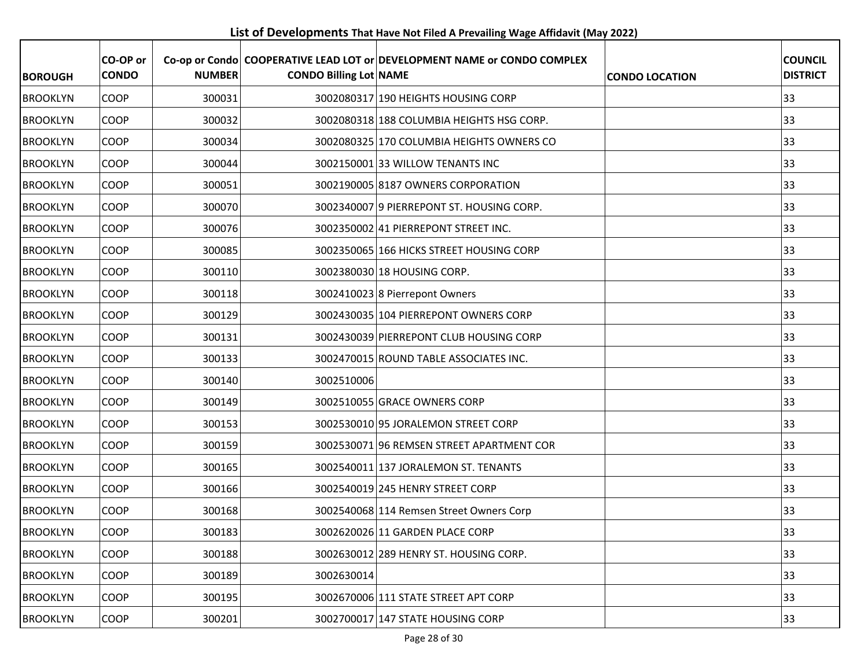**List of Developments That Have Not Filed A Prevailing Wage Affidavit (May 2022)**

| <b>BOROUGH</b>  | CO-OP or<br><b>CONDO</b> | <b>NUMBER</b> | <b>CONDO Billing Lot NAME</b> | Co-op or Condo COOPERATIVE LEAD LOT or DEVELOPMENT NAME or CONDO COMPLEX | <b>CONDO LOCATION</b> | <b>COUNCIL</b><br><b>DISTRICT</b> |
|-----------------|--------------------------|---------------|-------------------------------|--------------------------------------------------------------------------|-----------------------|-----------------------------------|
| <b>BROOKLYN</b> | <b>COOP</b>              | 300031        |                               | 3002080317 190 HEIGHTS HOUSING CORP                                      |                       | 33                                |
| <b>BROOKLYN</b> | <b>COOP</b>              | 300032        |                               | 3002080318 188 COLUMBIA HEIGHTS HSG CORP.                                |                       | 33                                |
| <b>BROOKLYN</b> | <b>COOP</b>              | 300034        |                               | 3002080325 170 COLUMBIA HEIGHTS OWNERS CO                                |                       | 33                                |
| <b>BROOKLYN</b> | <b>COOP</b>              | 300044        |                               | 3002150001 33 WILLOW TENANTS INC                                         |                       | 33                                |
| <b>BROOKLYN</b> | <b>COOP</b>              | 300051        |                               | 3002190005 8187 OWNERS CORPORATION                                       |                       | 33                                |
| <b>BROOKLYN</b> | <b>COOP</b>              | 300070        |                               | 3002340007 9 PIERREPONT ST. HOUSING CORP.                                |                       | 33                                |
| <b>BROOKLYN</b> | <b>COOP</b>              | 300076        |                               | 3002350002 41 PIERREPONT STREET INC.                                     |                       | 33                                |
| <b>BROOKLYN</b> | <b>COOP</b>              | 300085        |                               | 3002350065 166 HICKS STREET HOUSING CORP                                 |                       | 33                                |
| <b>BROOKLYN</b> | <b>COOP</b>              | 300110        |                               | 3002380030 18 HOUSING CORP.                                              |                       | 33                                |
| <b>BROOKLYN</b> | <b>COOP</b>              | 300118        |                               | 3002410023 8 Pierrepont Owners                                           |                       | 33                                |
| <b>BROOKLYN</b> | <b>COOP</b>              | 300129        |                               | 3002430035 104 PIERREPONT OWNERS CORP                                    |                       | 33                                |
| <b>BROOKLYN</b> | <b>COOP</b>              | 300131        |                               | 3002430039 PIERREPONT CLUB HOUSING CORP                                  |                       | 33                                |
| <b>BROOKLYN</b> | <b>COOP</b>              | 300133        |                               | 3002470015 ROUND TABLE ASSOCIATES INC.                                   |                       | 33                                |
| <b>BROOKLYN</b> | <b>COOP</b>              | 300140        | 3002510006                    |                                                                          |                       | 33                                |
| <b>BROOKLYN</b> | <b>COOP</b>              | 300149        |                               | 3002510055 GRACE OWNERS CORP                                             |                       | 33                                |
| <b>BROOKLYN</b> | <b>COOP</b>              | 300153        |                               | 3002530010 95 JORALEMON STREET CORP                                      |                       | 33                                |
| <b>BROOKLYN</b> | <b>COOP</b>              | 300159        |                               | 3002530071 96 REMSEN STREET APARTMENT COR                                |                       | 33                                |
| <b>BROOKLYN</b> | <b>COOP</b>              | 300165        |                               | 3002540011 137 JORALEMON ST. TENANTS                                     |                       | 33                                |
| <b>BROOKLYN</b> | <b>COOP</b>              | 300166        |                               | 3002540019 245 HENRY STREET CORP                                         |                       | 33                                |
| <b>BROOKLYN</b> | COOP                     | 300168        |                               | 3002540068 114 Remsen Street Owners Corp                                 |                       | 33                                |
| <b>BROOKLYN</b> | <b>COOP</b>              | 300183        |                               | 3002620026 11 GARDEN PLACE CORP                                          |                       | 33                                |
| <b>BROOKLYN</b> | <b>COOP</b>              | 300188        |                               | 3002630012 289 HENRY ST. HOUSING CORP.                                   |                       | 33                                |
| <b>BROOKLYN</b> | <b>COOP</b>              | 300189        | 3002630014                    |                                                                          |                       | 33                                |
| <b>BROOKLYN</b> | <b>COOP</b>              | 300195        |                               | 3002670006 111 STATE STREET APT CORP                                     |                       | 33                                |
| <b>BROOKLYN</b> | <b>COOP</b>              | 300201        |                               | 3002700017 147 STATE HOUSING CORP                                        |                       | 33                                |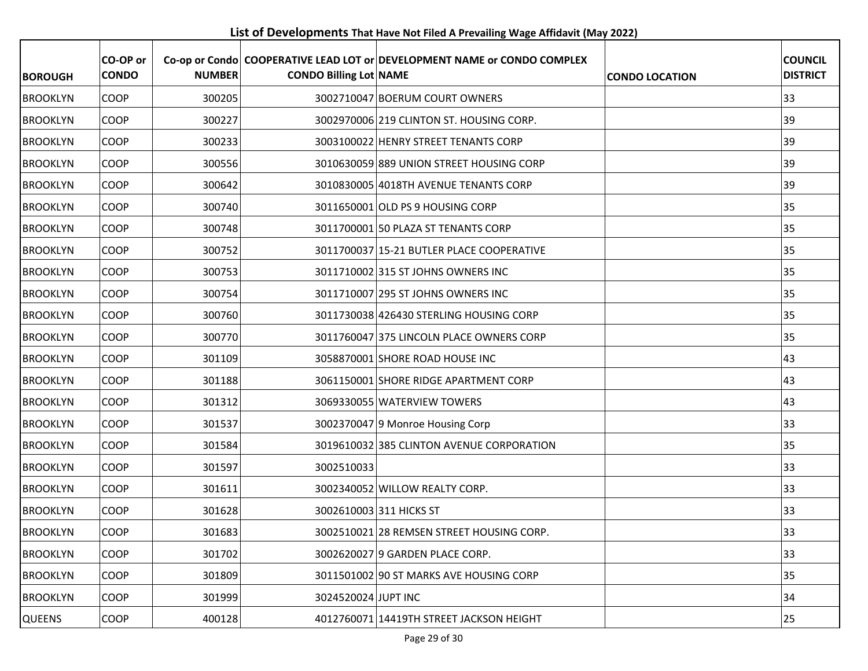**List of Developments That Have Not Filed A Prevailing Wage Affidavit (May 2022)**

| <b>BOROUGH</b>  | CO-OP or<br><b>CONDO</b> | <b>NUMBER</b> | <b>CONDO Billing Lot NAME</b> | Co-op or Condo COOPERATIVE LEAD LOT or DEVELOPMENT NAME or CONDO COMPLEX | <b>CONDO LOCATION</b> | <b>COUNCIL</b><br><b>DISTRICT</b> |
|-----------------|--------------------------|---------------|-------------------------------|--------------------------------------------------------------------------|-----------------------|-----------------------------------|
| <b>BROOKLYN</b> | <b>COOP</b>              | 300205        |                               | 3002710047 BOERUM COURT OWNERS                                           |                       | 33                                |
| <b>BROOKLYN</b> | <b>COOP</b>              | 300227        |                               | 3002970006 219 CLINTON ST. HOUSING CORP.                                 |                       | 39                                |
| <b>BROOKLYN</b> | <b>COOP</b>              | 300233        |                               | 3003100022 HENRY STREET TENANTS CORP                                     |                       | 39                                |
| <b>BROOKLYN</b> | <b>COOP</b>              | 300556        |                               | 3010630059 889 UNION STREET HOUSING CORP                                 |                       | 39                                |
| <b>BROOKLYN</b> | <b>COOP</b>              | 300642        |                               | 3010830005 4018TH AVENUE TENANTS CORP                                    |                       | 39                                |
| <b>BROOKLYN</b> | <b>COOP</b>              | 300740        |                               | 3011650001 OLD PS 9 HOUSING CORP                                         |                       | 35                                |
| <b>BROOKLYN</b> | <b>COOP</b>              | 300748        |                               | 3011700001 50 PLAZA ST TENANTS CORP                                      |                       | 35                                |
| <b>BROOKLYN</b> | <b>COOP</b>              | 300752        |                               | 3011700037 15-21 BUTLER PLACE COOPERATIVE                                |                       | 35                                |
| <b>BROOKLYN</b> | <b>COOP</b>              | 300753        |                               | 3011710002 315 ST JOHNS OWNERS INC                                       |                       | 35                                |
| <b>BROOKLYN</b> | <b>COOP</b>              | 300754        |                               | 3011710007 295 ST JOHNS OWNERS INC                                       |                       | 35                                |
| <b>BROOKLYN</b> | <b>COOP</b>              | 300760        |                               | 3011730038 426430 STERLING HOUSING CORP                                  |                       | 35                                |
| <b>BROOKLYN</b> | <b>COOP</b>              | 300770        |                               | 3011760047 375 LINCOLN PLACE OWNERS CORP                                 |                       | 35                                |
| <b>BROOKLYN</b> | <b>COOP</b>              | 301109        |                               | 3058870001 SHORE ROAD HOUSE INC                                          |                       | 43                                |
| <b>BROOKLYN</b> | <b>COOP</b>              | 301188        |                               | 3061150001 SHORE RIDGE APARTMENT CORP                                    |                       | 43                                |
| <b>BROOKLYN</b> | <b>COOP</b>              | 301312        |                               | 3069330055 WATERVIEW TOWERS                                              |                       | 43                                |
| <b>BROOKLYN</b> | <b>COOP</b>              | 301537        |                               | 3002370047 9 Monroe Housing Corp                                         |                       | 33                                |
| <b>BROOKLYN</b> | <b>COOP</b>              | 301584        |                               | 3019610032 385 CLINTON AVENUE CORPORATION                                |                       | 35                                |
| <b>BROOKLYN</b> | <b>COOP</b>              | 301597        | 3002510033                    |                                                                          |                       | 33                                |
| <b>BROOKLYN</b> | <b>COOP</b>              | 301611        |                               | 3002340052 WILLOW REALTY CORP.                                           |                       | 33                                |
| <b>BROOKLYN</b> | COOP                     | 301628        |                               | 3002610003 311 HICKS ST                                                  |                       | 33                                |
| <b>BROOKLYN</b> | <b>COOP</b>              | 301683        |                               | 3002510021 28 REMSEN STREET HOUSING CORP.                                |                       | 33                                |
| <b>BROOKLYN</b> | <b>COOP</b>              | 301702        |                               | 3002620027 9 GARDEN PLACE CORP.                                          |                       | 33                                |
| <b>BROOKLYN</b> | <b>COOP</b>              | 301809        |                               | 3011501002 90 ST MARKS AVE HOUSING CORP                                  |                       | 35                                |
| <b>BROOKLYN</b> | <b>COOP</b>              | 301999        | 3024520024 JUPT INC           |                                                                          |                       | 34                                |
| <b>QUEENS</b>   | <b>COOP</b>              | 400128        |                               | 4012760071 14419TH STREET JACKSON HEIGHT                                 |                       | 25                                |